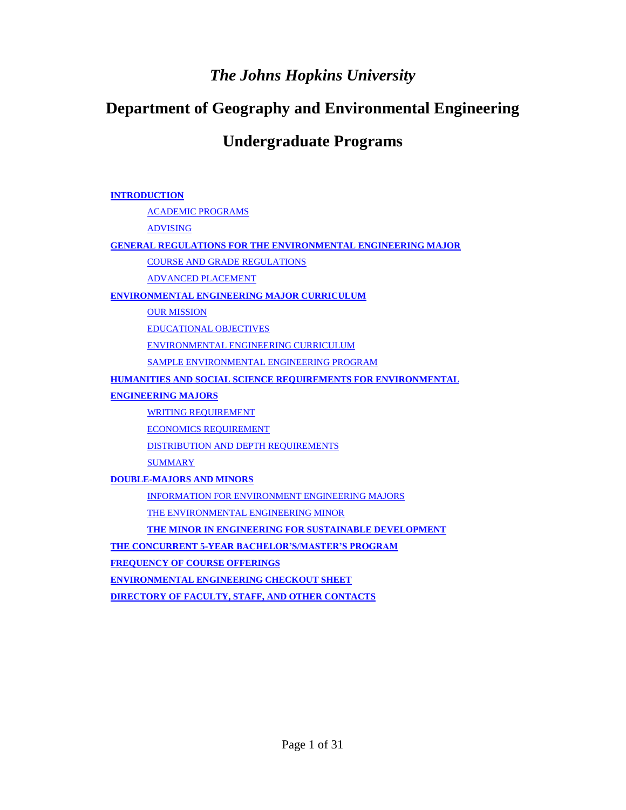## *The Johns Hopkins University*

## **Department of Geography and Environmental Engineering**

## **Undergraduate Programs**

#### **[INTRODUCTION](#page-1-0)**

[ACADEMIC PROGRAMS](#page-1-1)

[ADVISING](#page-1-2)

#### **[GENERAL REGULATIONS FOR THE ENVIRONMENTAL ENGINEERING MAJOR](#page-2-0)**

[COURSE AND GRADE REGULATIONS](#page-2-1)

[ADVANCED PLACEMENT](#page-3-0)

#### **[ENVIRONMENTAL ENGINEERING MAJOR CURRICULUM](#page-3-1)**

**[OUR MISSION](#page-3-2)** 

[EDUCATIONAL OBJECTIVES](#page-3-3)

[ENVIRONMENTAL ENGINEERING CURRICULUM](#page-4-0)

[SAMPLE ENVIRONMENTAL ENGINEERING PROGRAM](#page-11-0)

**[HUMANITIES AND SOCIAL SCIENCE REQUIREMENTS FOR ENVIRONMENTAL](#page-13-0)** 

**[ENGINEERING MAJORS](#page-13-0)**

[WRITING REQUIREMENT](#page-13-1)

[ECONOMICS REQUIREMENT](#page-13-2)

[DISTRIBUTION AND DEPTH REQUIREMENTS](#page-13-3)

**[SUMMARY](#page-13-4)** 

**[DOUBLE-MAJORS AND MINORS](#page-14-0)**

[INFORMATION FOR ENVIRONMENT ENGINEERING MAJORS](#page-14-1)

[THE ENVIRONMENTAL ENGINEERING MINOR](#page-14-2)

**[THE MINOR IN ENGINEERING FOR SUSTAINABLE DEVELOPMENT](#page-16-0)** 

**[THE CONCURRENT 5-YEAR BACHELOR'S/MASTER'S PROGRAM](#page-23-0)**

**[FREQUENCY OF COURSE OFFERINGS](#page-23-1)**

**[ENVIRONMENTAL ENGINEERING CHECKOUT SHEET](#page-24-0)**

**[DIRECTORY OF FACULTY, STAFF, AND OTHER CONTACTS](#page-26-0)**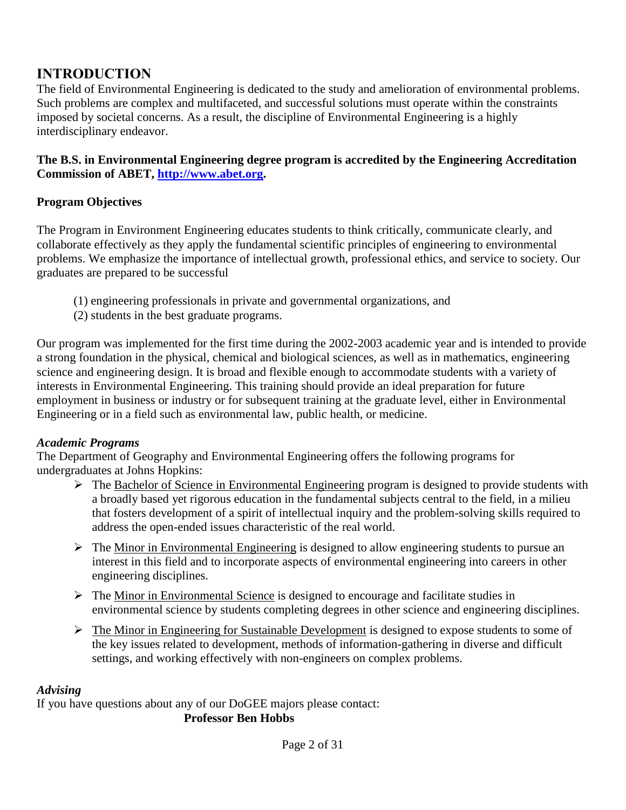## <span id="page-1-0"></span>**INTRODUCTION**

The field of Environmental Engineering is dedicated to the study and amelioration of environmental problems. Such problems are complex and multifaceted, and successful solutions must operate within the constraints imposed by societal concerns. As a result, the discipline of Environmental Engineering is a highly interdisciplinary endeavor.

**The B.S. in Environmental Engineering degree program is accredited by the Engineering Accreditation Commission of ABET, [http://www.abet.org.](http://www.abet.org/)**

## **Program Objectives**

The Program in Environment Engineering educates students to think critically, communicate clearly, and collaborate effectively as they apply the fundamental scientific principles of engineering to environmental problems. We emphasize the importance of intellectual growth, professional ethics, and service to society. Our graduates are prepared to be successful

- (1) engineering professionals in private and governmental organizations, and
- (2) students in the best graduate programs.

Our program was implemented for the first time during the 2002-2003 academic year and is intended to provide a strong foundation in the physical, chemical and biological sciences, as well as in mathematics, engineering science and engineering design. It is broad and flexible enough to accommodate students with a variety of interests in Environmental Engineering. This training should provide an ideal preparation for future employment in business or industry or for subsequent training at the graduate level, either in Environmental Engineering or in a field such as environmental law, public health, or medicine.

## <span id="page-1-1"></span>*Academic Programs*

The Department of Geography and Environmental Engineering offers the following programs for undergraduates at Johns Hopkins:

- $\triangleright$  The Bachelor of Science in Environmental Engineering program is designed to provide students with a broadly based yet rigorous education in the fundamental subjects central to the field, in a milieu that fosters development of a spirit of intellectual inquiry and the problem-solving skills required to address the open-ended issues characteristic of the real world.
- $\triangleright$  The Minor in Environmental Engineering is designed to allow engineering students to pursue an interest in this field and to incorporate aspects of environmental engineering into careers in other engineering disciplines.
- $\triangleright$  The Minor in Environmental Science is designed to encourage and facilitate studies in environmental science by students completing degrees in other science and engineering disciplines.
- $\triangleright$  The Minor in Engineering for Sustainable Development is designed to expose students to some of the key issues related to development, methods of information-gathering in diverse and difficult settings, and working effectively with non-engineers on complex problems.

## <span id="page-1-2"></span>*Advising*

If you have questions about any of our DoGEE majors please contact:

## **Professor Ben Hobbs**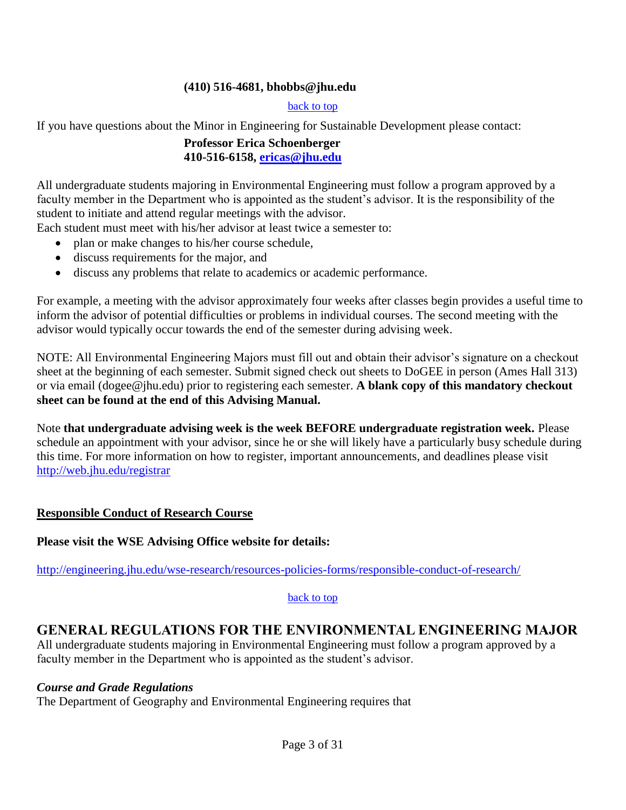#### **(410) 516-4681, bhobbs@jhu.edu**

#### back to top

If you have questions about the Minor in Engineering for Sustainable Development please contact:

### **Professor Erica Schoenberger 410-516-6158, [ericas@jhu.edu](mailto:ericas@jhu.edu)**

All undergraduate students majoring in Environmental Engineering must follow a program approved by a faculty member in the Department who is appointed as the student's advisor. It is the responsibility of the student to initiate and attend regular meetings with the advisor.

Each student must meet with his/her advisor at least twice a semester to:

- plan or make changes to his/her course schedule,
- discuss requirements for the major, and
- discuss any problems that relate to academics or academic performance.

For example, a meeting with the advisor approximately four weeks after classes begin provides a useful time to inform the advisor of potential difficulties or problems in individual courses. The second meeting with the advisor would typically occur towards the end of the semester during advising week.

NOTE: All Environmental Engineering Majors must fill out and obtain their advisor's signature on a checkout sheet at the beginning of each semester. Submit signed check out sheets to DoGEE in person (Ames Hall 313) or via email (dogee@jhu.edu) prior to registering each semester. **A blank copy of this mandatory checkout sheet can be found at the end of this Advising Manual.**

Note **that undergraduate advising week is the week BEFORE undergraduate registration week.** Please schedule an appointment with your advisor, since he or she will likely have a particularly busy schedule during this time. For more information on how to register, important announcements, and deadlines please visit <http://web.jhu.edu/registrar>

#### **Responsible Conduct of Research Course**

**Please visit the WSE Advising Office website for details:** 

<http://engineering.jhu.edu/wse-research/resources-policies-forms/responsible-conduct-of-research/>

#### back to top

## <span id="page-2-0"></span>**GENERAL REGULATIONS FOR THE ENVIRONMENTAL ENGINEERING MAJOR**

All undergraduate students majoring in Environmental Engineering must follow a program approved by a faculty member in the Department who is appointed as the student's advisor.

#### <span id="page-2-1"></span>*Course and Grade Regulations*

The Department of Geography and Environmental Engineering requires that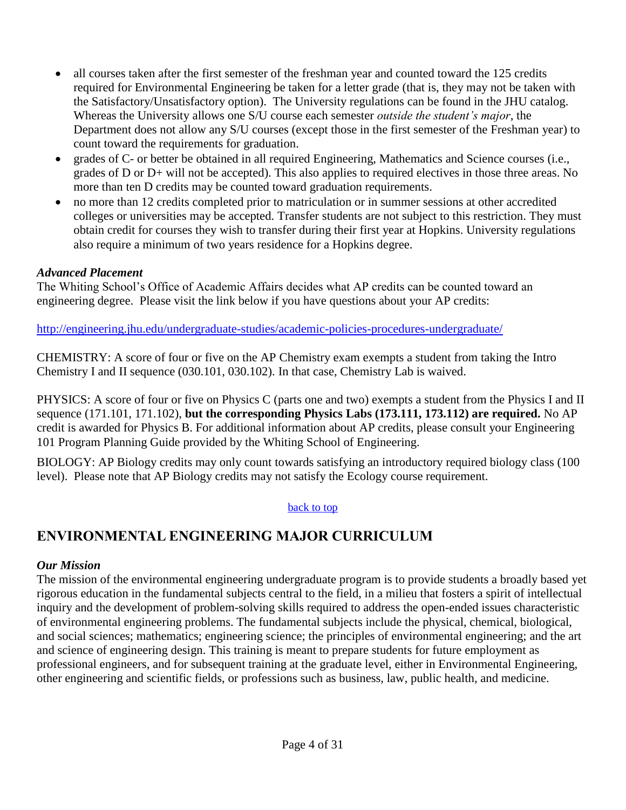- all courses taken after the first semester of the freshman year and counted toward the 125 credits required for Environmental Engineering be taken for a letter grade (that is, they may not be taken with the Satisfactory/Unsatisfactory option). The University regulations can be found in the JHU catalog. Whereas the University allows one S/U course each semester *outside the student's major*, the Department does not allow any S/U courses (except those in the first semester of the Freshman year) to count toward the requirements for graduation.
- grades of C- or better be obtained in all required Engineering, Mathematics and Science courses (i.e., grades of D or D+ will not be accepted). This also applies to required electives in those three areas. No more than ten D credits may be counted toward graduation requirements.
- no more than 12 credits completed prior to matriculation or in summer sessions at other accredited colleges or universities may be accepted. Transfer students are not subject to this restriction. They must obtain credit for courses they wish to transfer during their first year at Hopkins. University regulations also require a minimum of two years residence for a Hopkins degree.

### <span id="page-3-0"></span>*Advanced Placement*

The Whiting School's Office of Academic Affairs decides what AP credits can be counted toward an engineering degree. Please visit the link below if you have questions about your AP credits:

<http://engineering.jhu.edu/undergraduate-studies/academic-policies-procedures-undergraduate/>

CHEMISTRY: A score of four or five on the AP Chemistry exam exempts a student from taking the Intro Chemistry I and II sequence (030.101, 030.102). In that case, Chemistry Lab is waived.

PHYSICS: A score of four or five on Physics C (parts one and two) exempts a student from the Physics I and II sequence (171.101, 171.102), **but the corresponding Physics Labs (173.111, 173.112) are required.** No AP credit is awarded for Physics B. For additional information about AP credits, please consult your Engineering 101 Program Planning Guide provided by the Whiting School of Engineering.

BIOLOGY: AP Biology credits may only count towards satisfying an introductory required biology class (100 level). Please note that AP Biology credits may not satisfy the Ecology course requirement.

#### back to top

## <span id="page-3-1"></span>**ENVIRONMENTAL ENGINEERING MAJOR CURRICULUM**

#### <span id="page-3-2"></span>*Our Mission*

<span id="page-3-3"></span>The mission of the environmental engineering undergraduate program is to provide students a broadly based yet rigorous education in the fundamental subjects central to the field, in a milieu that fosters a spirit of intellectual inquiry and the development of problem-solving skills required to address the open-ended issues characteristic of environmental engineering problems. The fundamental subjects include the physical, chemical, biological, and social sciences; mathematics; engineering science; the principles of environmental engineering; and the art and science of engineering design. This training is meant to prepare students for future employment as professional engineers, and for subsequent training at the graduate level, either in Environmental Engineering, other engineering and scientific fields, or professions such as business, law, public health, and medicine.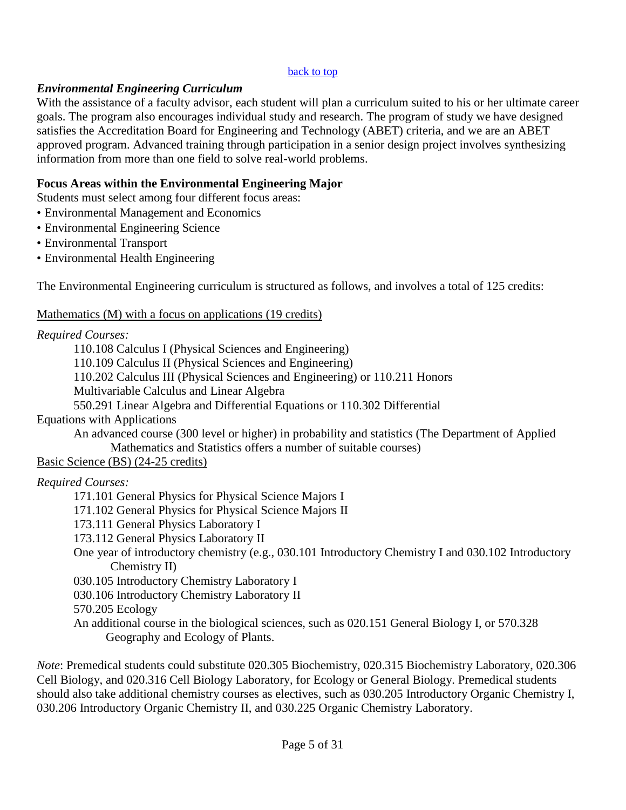#### back to top

#### <span id="page-4-0"></span>*Environmental Engineering Curriculum*

With the assistance of a faculty advisor, each student will plan a curriculum suited to his or her ultimate career goals. The program also encourages individual study and research. The program of study we have designed satisfies the Accreditation Board for Engineering and Technology (ABET) criteria, and we are an ABET approved program. Advanced training through participation in a senior design project involves synthesizing information from more than one field to solve real-world problems.

### **Focus Areas within the Environmental Engineering Major**

Students must select among four different focus areas:

- Environmental Management and Economics
- Environmental Engineering Science
- Environmental Transport
- Environmental Health Engineering

The Environmental Engineering curriculum is structured as follows, and involves a total of 125 credits:

### Mathematics (M) with a focus on applications (19 credits)

### *Required Courses:*

110.108 Calculus I (Physical Sciences and Engineering) 110.109 Calculus II (Physical Sciences and Engineering) 110.202 Calculus III (Physical Sciences and Engineering) or 110.211 Honors Multivariable Calculus and Linear Algebra 550.291 Linear Algebra and Differential Equations or 110.302 Differential Equations with Applications An advanced course (300 level or higher) in probability and statistics (The Department of Applied Mathematics and Statistics offers a number of suitable courses) Basic Science (BS) (24-25 credits)

#### *Required Courses:*

171.101 General Physics for Physical Science Majors I

- 171.102 General Physics for Physical Science Majors II
- 173.111 General Physics Laboratory I
- 173.112 General Physics Laboratory II
- One year of introductory chemistry (e.g., 030.101 Introductory Chemistry I and 030.102 Introductory Chemistry II)

030.105 Introductory Chemistry Laboratory I

030.106 Introductory Chemistry Laboratory II

570.205 Ecology

An additional course in the biological sciences, such as 020.151 General Biology I, or 570.328 Geography and Ecology of Plants.

*Note*: Premedical students could substitute 020.305 Biochemistry, 020.315 Biochemistry Laboratory, 020.306 Cell Biology, and 020.316 Cell Biology Laboratory, for Ecology or General Biology. Premedical students should also take additional chemistry courses as electives, such as 030.205 Introductory Organic Chemistry I, 030.206 Introductory Organic Chemistry II, and 030.225 Organic Chemistry Laboratory.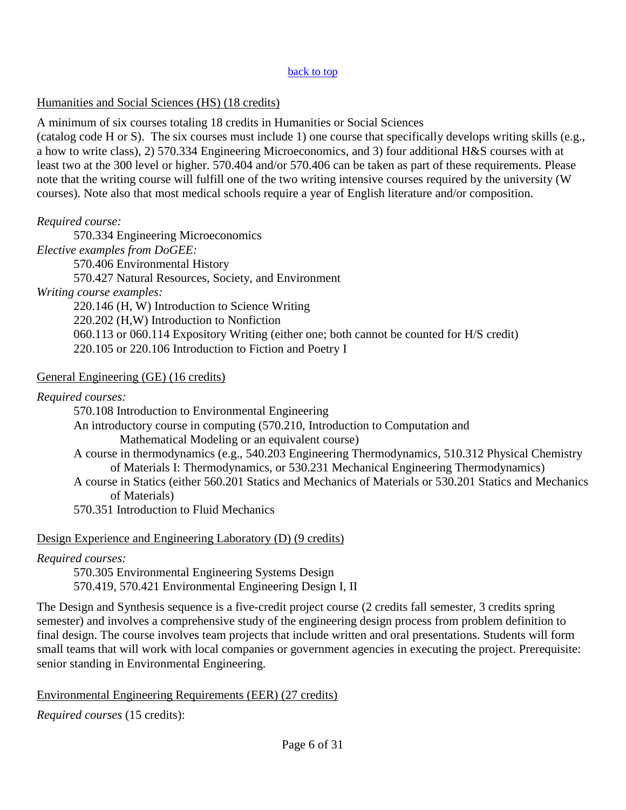#### back to top

### Humanities and Social Sciences (HS) (18 credits)

A minimum of six courses totaling 18 credits in Humanities or Social Sciences (catalog code H or S). The six courses must include 1) one course that specifically develops writing skills (e.g., a how to write class), 2) 570.334 Engineering Microeconomics, and 3) four additional H&S courses with at least two at the 300 level or higher. 570.404 and/or 570.406 can be taken as part of these requirements. Please note that the writing course will fulfill one of the two writing intensive courses required by the university (W

courses). Note also that most medical schools require a year of English literature and/or composition.

## *Required course:*

570.334 Engineering Microeconomics *Elective examples from DoGEE:* 570.406 Environmental History 570.427 Natural Resources, Society, and Environment *Writing course examples:* 220.146 (H, W) Introduction to Science Writing 220.202 (H,W) Introduction to Nonfiction 060.113 or 060.114 Expository Writing (either one; both cannot be counted for H/S credit) 220.105 or 220.106 Introduction to Fiction and Poetry I

## General Engineering (GE) (16 credits)

*Required courses:*

570.108 Introduction to Environmental Engineering An introductory course in computing (570.210, Introduction to Computation and Mathematical Modeling or an equivalent course) A course in thermodynamics (e.g., 540.203 Engineering Thermodynamics, 510.312 Physical Chemistry of Materials I: Thermodynamics, or 530.231 Mechanical Engineering Thermodynamics) A course in Statics (either 560.201 Statics and Mechanics of Materials or 530.201 Statics and Mechanics of Materials)

570.351 Introduction to Fluid Mechanics

## Design Experience and Engineering Laboratory (D) (9 credits)

## *Required courses:*

570.305 Environmental Engineering Systems Design 570.419, 570.421 Environmental Engineering Design I, II

The Design and Synthesis sequence is a five-credit project course (2 credits fall semester, 3 credits spring semester) and involves a comprehensive study of the engineering design process from problem definition to final design. The course involves team projects that include written and oral presentations. Students will form small teams that will work with local companies or government agencies in executing the project. Prerequisite: senior standing in Environmental Engineering.

## Environmental Engineering Requirements (EER) (27 credits)

*Required courses* (15 credits):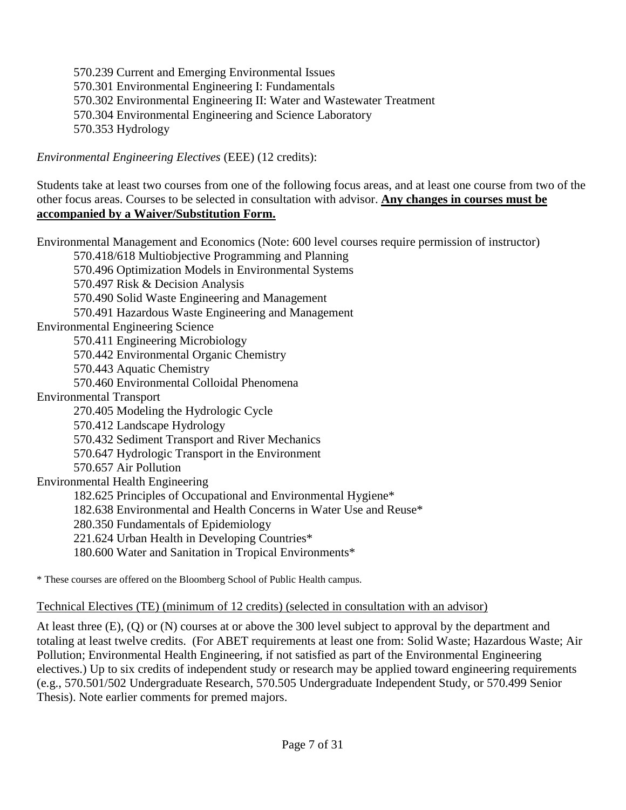570.239 Current and Emerging Environmental Issues 570.301 Environmental Engineering I: Fundamentals 570.302 Environmental Engineering II: Water and Wastewater Treatment 570.304 Environmental Engineering and Science Laboratory 570.353 Hydrology

*Environmental Engineering Electives* (EEE) (12 credits):

Students take at least two courses from one of the following focus areas, and at least one course from two of the other focus areas. Courses to be selected in consultation with advisor. **Any changes in courses must be accompanied by a Waiver/Substitution Form.**

Environmental Management and Economics (Note: 600 level courses require permission of instructor) 570.418/618 Multiobjective Programming and Planning 570.496 Optimization Models in Environmental Systems 570.497 Risk & Decision Analysis 570.490 Solid Waste Engineering and Management 570.491 Hazardous Waste Engineering and Management Environmental Engineering Science 570.411 Engineering Microbiology 570.442 Environmental Organic Chemistry 570.443 Aquatic Chemistry 570.460 Environmental Colloidal Phenomena Environmental Transport 270.405 Modeling the Hydrologic Cycle 570.412 Landscape Hydrology 570.432 Sediment Transport and River Mechanics 570.647 Hydrologic Transport in the Environment 570.657 Air Pollution Environmental Health Engineering 182.625 Principles of Occupational and Environmental Hygiene\* 182.638 Environmental and Health Concerns in Water Use and Reuse\* 280.350 Fundamentals of Epidemiology 221.624 Urban Health in Developing Countries\* 180.600 Water and Sanitation in Tropical Environments\*

\* These courses are offered on the Bloomberg School of Public Health campus.

## Technical Electives (TE) (minimum of 12 credits) (selected in consultation with an advisor)

At least three (E), (Q) or (N) courses at or above the 300 level subject to approval by the department and totaling at least twelve credits. (For ABET requirements at least one from: Solid Waste; Hazardous Waste; Air Pollution; Environmental Health Engineering, if not satisfied as part of the Environmental Engineering electives.) Up to six credits of independent study or research may be applied toward engineering requirements (e.g., 570.501/502 Undergraduate Research, 570.505 Undergraduate Independent Study, or 570.499 Senior Thesis). Note earlier comments for premed majors.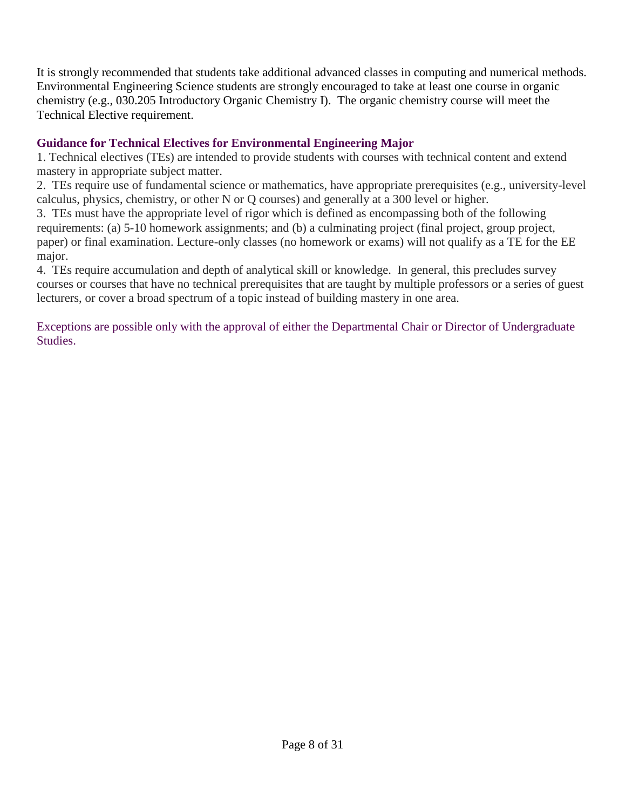It is strongly recommended that students take additional advanced classes in computing and numerical methods. Environmental Engineering Science students are strongly encouraged to take at least one course in organic chemistry (e.g., 030.205 Introductory Organic Chemistry I). The organic chemistry course will meet the Technical Elective requirement.

## **Guidance for Technical Electives for Environmental Engineering Major**

1. Technical electives (TEs) are intended to provide students with courses with technical content and extend mastery in appropriate subject matter.

2. TEs require use of fundamental science or mathematics, have appropriate prerequisites (e.g., university-level calculus, physics, chemistry, or other N or Q courses) and generally at a 300 level or higher.

3. TEs must have the appropriate level of rigor which is defined as encompassing both of the following requirements: (a) 5-10 homework assignments; and (b) a culminating project (final project, group project, paper) or final examination. Lecture-only classes (no homework or exams) will not qualify as a TE for the EE major.

4. TEs require accumulation and depth of analytical skill or knowledge. In general, this precludes survey courses or courses that have no technical prerequisites that are taught by multiple professors or a series of guest lecturers, or cover a broad spectrum of a topic instead of building mastery in one area.

Exceptions are possible only with the approval of either the Departmental Chair or Director of Undergraduate Studies.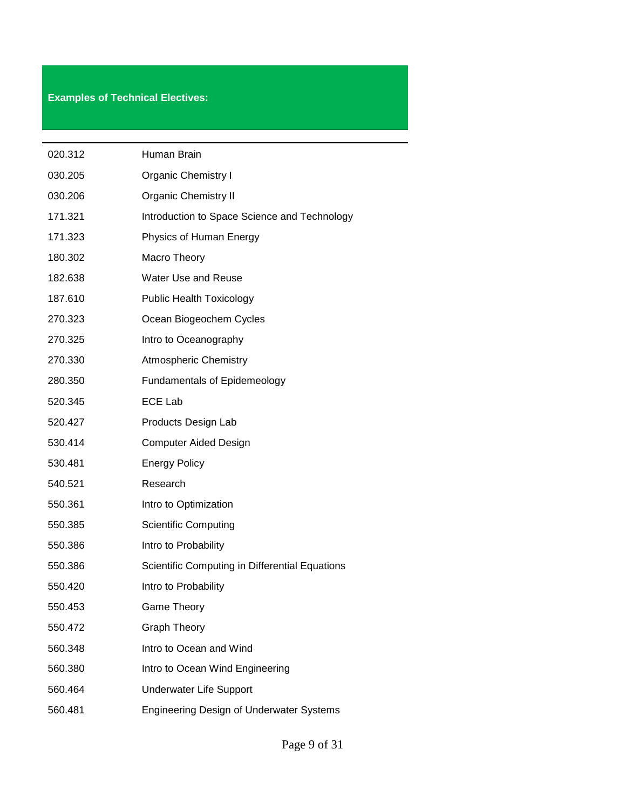## **Examples of Technical Electives:**

| 020.312 | Human Brain                                     |
|---------|-------------------------------------------------|
| 030.205 | <b>Organic Chemistry I</b>                      |
| 030.206 | <b>Organic Chemistry II</b>                     |
| 171.321 | Introduction to Space Science and Technology    |
| 171.323 | Physics of Human Energy                         |
| 180.302 | Macro Theory                                    |
| 182.638 | <b>Water Use and Reuse</b>                      |
| 187.610 | <b>Public Health Toxicology</b>                 |
| 270.323 | Ocean Biogeochem Cycles                         |
| 270.325 | Intro to Oceanography                           |
| 270.330 | <b>Atmospheric Chemistry</b>                    |
| 280.350 | <b>Fundamentals of Epidemeology</b>             |
| 520.345 | <b>ECE Lab</b>                                  |
| 520.427 | Products Design Lab                             |
| 530.414 | <b>Computer Aided Design</b>                    |
| 530.481 | <b>Energy Policy</b>                            |
| 540.521 | Research                                        |
| 550.361 | Intro to Optimization                           |
| 550.385 | <b>Scientific Computing</b>                     |
| 550.386 | Intro to Probability                            |
| 550.386 | Scientific Computing in Differential Equations  |
| 550.420 | Intro to Probability                            |
| 550.453 | <b>Game Theory</b>                              |
| 550.472 | <b>Graph Theory</b>                             |
| 560.348 | Intro to Ocean and Wind                         |
| 560.380 | Intro to Ocean Wind Engineering                 |
| 560.464 | Underwater Life Support                         |
| 560.481 | <b>Engineering Design of Underwater Systems</b> |

 $\overline{\phantom{0}}$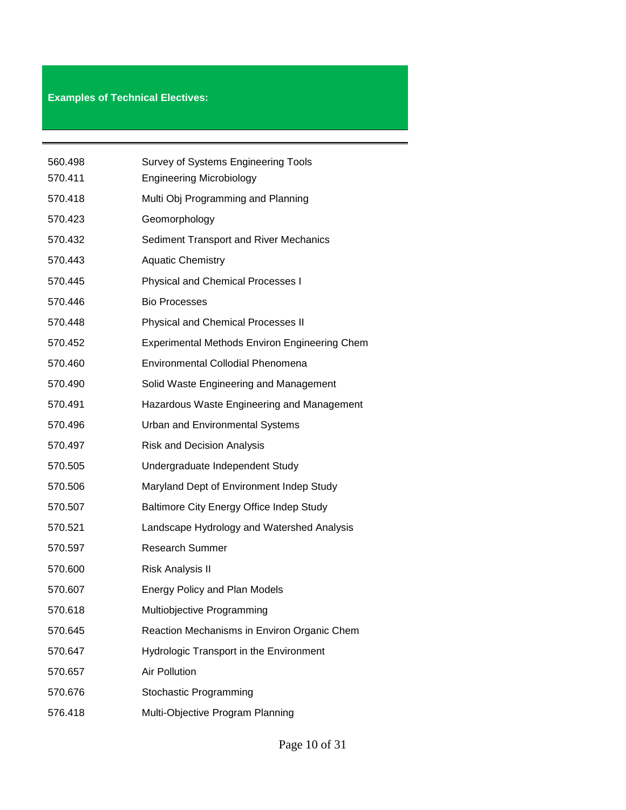## **Examples of Technical Electives:**

| 560.498 | <b>Survey of Systems Engineering Tools</b>           |
|---------|------------------------------------------------------|
| 570.411 | <b>Engineering Microbiology</b>                      |
| 570.418 | Multi Obj Programming and Planning                   |
| 570.423 | Geomorphology                                        |
| 570.432 | Sediment Transport and River Mechanics               |
| 570.443 | <b>Aquatic Chemistry</b>                             |
| 570.445 | <b>Physical and Chemical Processes I</b>             |
| 570.446 | <b>Bio Processes</b>                                 |
| 570.448 | <b>Physical and Chemical Processes II</b>            |
| 570.452 | <b>Experimental Methods Environ Engineering Chem</b> |
| 570.460 | <b>Environmental Collodial Phenomena</b>             |
| 570.490 | Solid Waste Engineering and Management               |
| 570.491 | Hazardous Waste Engineering and Management           |
| 570.496 | <b>Urban and Environmental Systems</b>               |
| 570.497 | <b>Risk and Decision Analysis</b>                    |
| 570.505 | Undergraduate Independent Study                      |
| 570.506 | Maryland Dept of Environment Indep Study             |
| 570.507 | Baltimore City Energy Office Indep Study             |
| 570.521 | Landscape Hydrology and Watershed Analysis           |
| 570.597 | <b>Research Summer</b>                               |
| 570.600 | <b>Risk Analysis II</b>                              |
| 570.607 | <b>Energy Policy and Plan Models</b>                 |
| 570.618 | Multiobjective Programming                           |
| 570.645 | Reaction Mechanisms in Environ Organic Chem          |
| 570.647 | Hydrologic Transport in the Environment              |
| 570.657 | <b>Air Pollution</b>                                 |
| 570.676 | Stochastic Programming                               |
| 576.418 | Multi-Objective Program Planning                     |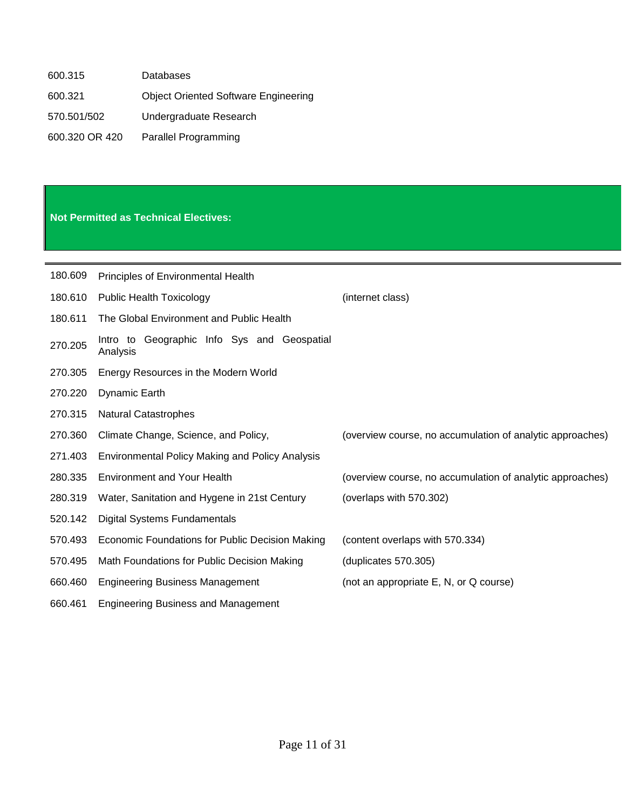| 600.315        | <b>Databases</b>                            |
|----------------|---------------------------------------------|
| 600.321        | <b>Object Oriented Software Engineering</b> |
| 570.501/502    | Undergraduate Research                      |
| 600.320 OR 420 | <b>Parallel Programming</b>                 |

## **Not Permitted as Technical Electives:**

| 180.609 | Principles of Environmental Health                         |                                                           |
|---------|------------------------------------------------------------|-----------------------------------------------------------|
| 180.610 | <b>Public Health Toxicology</b>                            | (internet class)                                          |
| 180.611 | The Global Environment and Public Health                   |                                                           |
| 270.205 | Geographic Info Sys and Geospatial<br>Intro to<br>Analysis |                                                           |
| 270.305 | Energy Resources in the Modern World                       |                                                           |
| 270.220 | Dynamic Earth                                              |                                                           |
| 270.315 | <b>Natural Catastrophes</b>                                |                                                           |
| 270.360 | Climate Change, Science, and Policy,                       | (overview course, no accumulation of analytic approaches) |
| 271.403 | <b>Environmental Policy Making and Policy Analysis</b>     |                                                           |
| 280.335 | <b>Environment and Your Health</b>                         | (overview course, no accumulation of analytic approaches) |
| 280.319 | Water, Sanitation and Hygene in 21st Century               | (overlaps with 570.302)                                   |
| 520.142 | <b>Digital Systems Fundamentals</b>                        |                                                           |
| 570.493 | Economic Foundations for Public Decision Making            | (content overlaps with 570.334)                           |
| 570.495 | Math Foundations for Public Decision Making                | (duplicates 570.305)                                      |
| 660.460 | <b>Engineering Business Management</b>                     | (not an appropriate E, N, or Q course)                    |
| 660.461 | <b>Engineering Business and Management</b>                 |                                                           |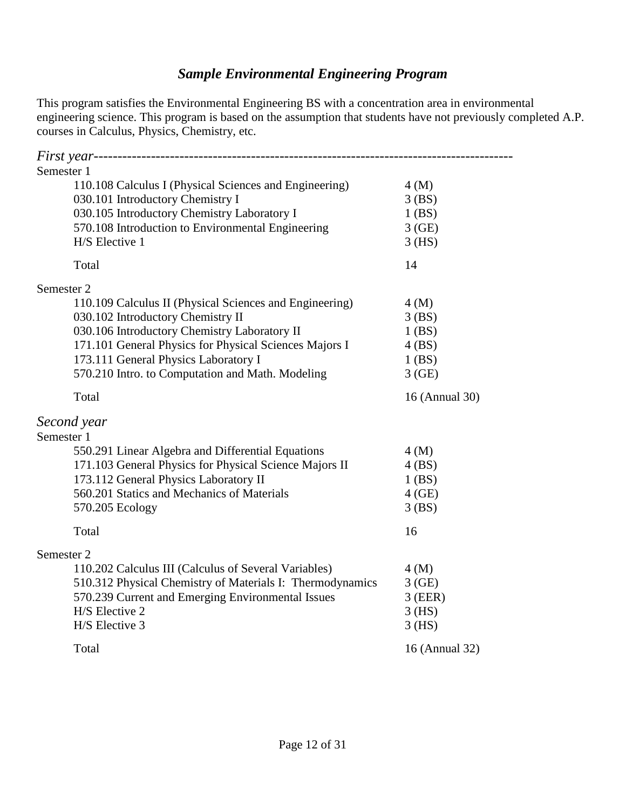## *Sample Environmental Engineering Program*

<span id="page-11-0"></span>This program satisfies the Environmental Engineering BS with a concentration area in environmental engineering science. This program is based on the assumption that students have not previously completed A.P. courses in Calculus, Physics, Chemistry, etc.

| Semester 1                                                |                |  |  |
|-----------------------------------------------------------|----------------|--|--|
| 110.108 Calculus I (Physical Sciences and Engineering)    | 4(M)           |  |  |
| 030.101 Introductory Chemistry I                          | $3$ (BS)       |  |  |
| 030.105 Introductory Chemistry Laboratory I               | $1$ (BS)       |  |  |
| 570.108 Introduction to Environmental Engineering         | 3(GE)          |  |  |
| H/S Elective 1                                            | $3$ (HS)       |  |  |
| Total                                                     | 14             |  |  |
| Semester 2                                                |                |  |  |
| 110.109 Calculus II (Physical Sciences and Engineering)   | 4(M)           |  |  |
| 030.102 Introductory Chemistry II                         | $3$ (BS)       |  |  |
| 030.106 Introductory Chemistry Laboratory II              | $1$ (BS)       |  |  |
| 171.101 General Physics for Physical Sciences Majors I    | 4(BS)          |  |  |
| 173.111 General Physics Laboratory I                      | $1$ (BS)       |  |  |
| 570.210 Intro. to Computation and Math. Modeling          | 3(GE)          |  |  |
| Total                                                     | 16 (Annual 30) |  |  |
| Second year                                               |                |  |  |
| Semester 1                                                |                |  |  |
| 550.291 Linear Algebra and Differential Equations         | 4(M)           |  |  |
| 171.103 General Physics for Physical Science Majors II    | 4(BS)          |  |  |
| 173.112 General Physics Laboratory II                     | $1$ (BS)       |  |  |
| 560.201 Statics and Mechanics of Materials                | $4$ (GE)       |  |  |
| 570.205 Ecology                                           | 3(BS)          |  |  |
| Total                                                     | 16             |  |  |
| Semester 2                                                |                |  |  |
| 110.202 Calculus III (Calculus of Several Variables)      | 4(M)           |  |  |
| 510.312 Physical Chemistry of Materials I: Thermodynamics | 3(GE)          |  |  |
| 570.239 Current and Emerging Environmental Issues         | $3$ (EER)      |  |  |
| H/S Elective 2                                            | $3$ (HS)       |  |  |
| H/S Elective 3                                            | $3$ (HS)       |  |  |
| Total                                                     | 16 (Annual 32) |  |  |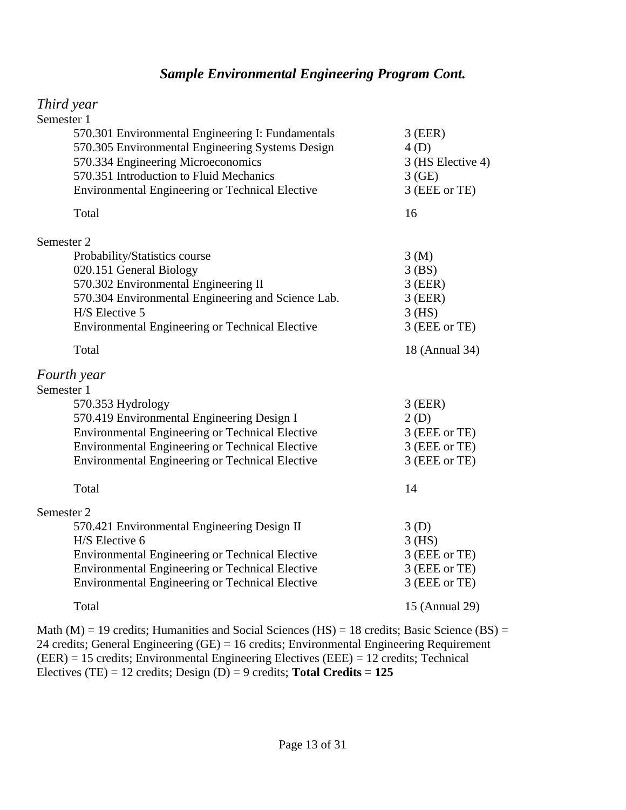## *Sample Environmental Engineering Program Cont.*

## *Third year*

| Semester 1                                                                                            |                   |
|-------------------------------------------------------------------------------------------------------|-------------------|
| 570.301 Environmental Engineering I: Fundamentals<br>570.305 Environmental Engineering Systems Design | $3$ (EER)<br>4(D) |
| 570.334 Engineering Microeconomics                                                                    | 3 (HS Elective 4) |
| 570.351 Introduction to Fluid Mechanics                                                               | 3(GE)             |
| <b>Environmental Engineering or Technical Elective</b>                                                | 3 (EEE or TE)     |
| Total                                                                                                 | 16                |
| Semester 2                                                                                            |                   |
| Probability/Statistics course                                                                         | 3(M)              |
| 020.151 General Biology                                                                               | $3$ (BS)          |
| 570.302 Environmental Engineering II                                                                  | $3$ (EER)         |
| 570.304 Environmental Engineering and Science Lab.                                                    | $3$ (EER)         |
| H/S Elective 5                                                                                        | $3$ (HS)          |
| Environmental Engineering or Technical Elective                                                       | 3 (EEE or TE)     |
| Total                                                                                                 | 18 (Annual 34)    |
| Fourth year                                                                                           |                   |
| Semester 1                                                                                            |                   |
| 570.353 Hydrology                                                                                     | $3$ (EER)         |
| 570.419 Environmental Engineering Design I                                                            | 2(D)              |
| <b>Environmental Engineering or Technical Elective</b>                                                | 3 (EEE or TE)     |
| Environmental Engineering or Technical Elective                                                       | 3 (EEE or TE)     |
| Environmental Engineering or Technical Elective                                                       | 3 (EEE or TE)     |
| Total                                                                                                 | 14                |
| Semester 2                                                                                            |                   |
| 570.421 Environmental Engineering Design II                                                           | 3(D)              |
| H/S Elective 6                                                                                        | $3$ (HS)          |
| Environmental Engineering or Technical Elective                                                       | 3 (EEE or TE)     |
| Environmental Engineering or Technical Elective                                                       | 3 (EEE or TE)     |
| Environmental Engineering or Technical Elective                                                       | 3 (EEE or TE)     |
| Total                                                                                                 | 15 (Annual 29)    |
|                                                                                                       |                   |

Math (M) = 19 credits; Humanities and Social Sciences (HS) = 18 credits; Basic Science (BS) = 24 credits; General Engineering (GE) = 16 credits; Environmental Engineering Requirement (EER) = 15 credits; Environmental Engineering Electives (EEE) = 12 credits; Technical Electives (TE) = 12 credits; Design (D) = 9 credits; **Total Credits = 125**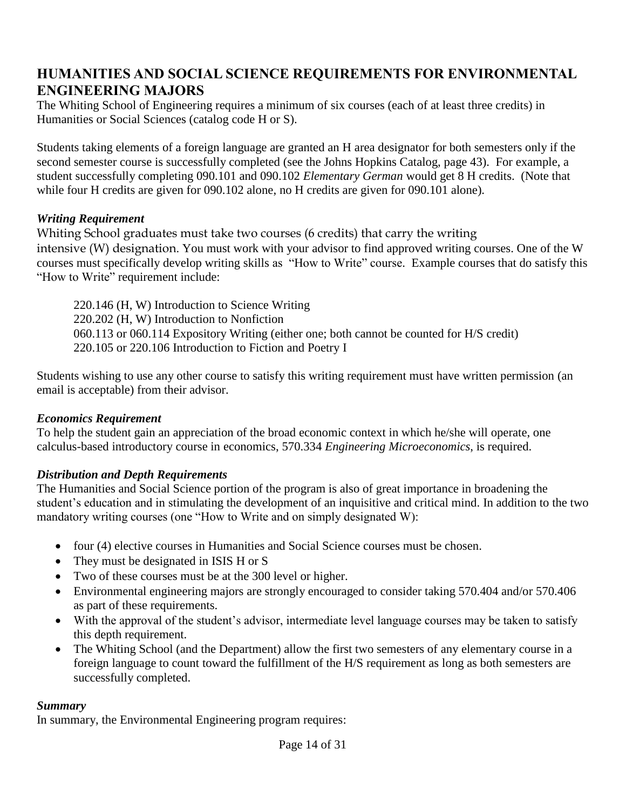## <span id="page-13-0"></span>**HUMANITIES AND SOCIAL SCIENCE REQUIREMENTS FOR ENVIRONMENTAL ENGINEERING MAJORS**

The Whiting School of Engineering requires a minimum of six courses (each of at least three credits) in Humanities or Social Sciences (catalog code H or S).

Students taking elements of a foreign language are granted an H area designator for both semesters only if the second semester course is successfully completed (see the Johns Hopkins Catalog, page 43). For example, a student successfully completing 090.101 and 090.102 *Elementary German* would get 8 H credits. (Note that while four H credits are given for 090.102 alone, no H credits are given for 090.101 alone).

### <span id="page-13-1"></span>*Writing Requirement*

Whiting School graduates must take two courses (6 credits) that carry the writing intensive (W) designation. You must work with your advisor to find approved writing courses. One of the W courses must specifically develop writing skills as "How to Write" course. Example courses that do satisfy this "How to Write" requirement include:

220.146 (H, W) Introduction to Science Writing 220.202 (H, W) Introduction to Nonfiction 060.113 or 060.114 Expository Writing (either one; both cannot be counted for H/S credit) 220.105 or 220.106 Introduction to Fiction and Poetry I

Students wishing to use any other course to satisfy this writing requirement must have written permission (an email is acceptable) from their advisor.

## <span id="page-13-2"></span>*Economics Requirement*

To help the student gain an appreciation of the broad economic context in which he/she will operate, one calculus-based introductory course in economics, 570.334 *Engineering Microeconomics*, is required.

## <span id="page-13-3"></span>*Distribution and Depth Requirements*

The Humanities and Social Science portion of the program is also of great importance in broadening the student's education and in stimulating the development of an inquisitive and critical mind. In addition to the two mandatory writing courses (one "How to Write and on simply designated W):

- four (4) elective courses in Humanities and Social Science courses must be chosen.
- They must be designated in ISIS H or S
- Two of these courses must be at the 300 level or higher.
- Environmental engineering majors are strongly encouraged to consider taking 570.404 and/or 570.406 as part of these requirements.
- With the approval of the student's advisor, intermediate level language courses may be taken to satisfy this depth requirement.
- The Whiting School (and the Department) allow the first two semesters of any elementary course in a foreign language to count toward the fulfillment of the H/S requirement as long as both semesters are successfully completed.

#### <span id="page-13-4"></span>*Summary*

In summary, the Environmental Engineering program requires: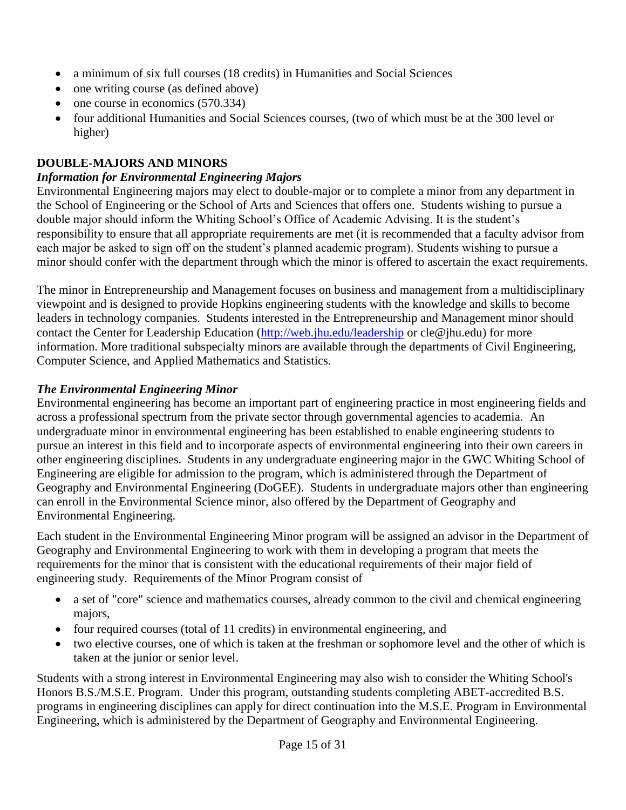- a minimum of six full courses (18 credits) in Humanities and Social Sciences
- one writing course (as defined above)
- $\bullet$  one course in economics (570.334)
- four additional Humanities and Social Sciences courses, (two of which must be at the 300 level or higher)

## <span id="page-14-0"></span>**DOUBLE-MAJORS AND MINORS**

### <span id="page-14-1"></span>*Information for Environmental Engineering Majors*

Environmental Engineering majors may elect to double-major or to complete a minor from any department in the School of Engineering or the School of Arts and Sciences that offers one. Students wishing to pursue a double major should inform the Whiting School's Office of Academic Advising. It is the student's responsibility to ensure that all appropriate requirements are met (it is recommended that a faculty advisor from each major be asked to sign off on the student's planned academic program). Students wishing to pursue a minor should confer with the department through which the minor is offered to ascertain the exact requirements.

The minor in Entrepreneurship and Management focuses on business and management from a multidisciplinary viewpoint and is designed to provide Hopkins engineering students with the knowledge and skills to become leaders in technology companies. Students interested in the Entrepreneurship and Management minor should contact the Center for Leadership Education [\(http://web.jhu.edu/leadership](http://web.jhu.edu/leadership) or cle@jhu.edu) for more information. More traditional subspecialty minors are available through the departments of Civil Engineering, Computer Science, and Applied Mathematics and Statistics.

### <span id="page-14-2"></span>*The Environmental Engineering Minor*

Environmental engineering has become an important part of engineering practice in most engineering fields and across a professional spectrum from the private sector through governmental agencies to academia. An undergraduate minor in environmental engineering has been established to enable engineering students to pursue an interest in this field and to incorporate aspects of environmental engineering into their own careers in other engineering disciplines. Students in any undergraduate engineering major in the GWC Whiting School of Engineering are eligible for admission to the program, which is administered through the Department of Geography and Environmental Engineering (DoGEE). Students in undergraduate majors other than engineering can enroll in the Environmental Science minor, also offered by the Department of Geography and Environmental Engineering.

Each student in the Environmental Engineering Minor program will be assigned an advisor in the Department of Geography and Environmental Engineering to work with them in developing a program that meets the requirements for the minor that is consistent with the educational requirements of their major field of engineering study. Requirements of the Minor Program consist of

- a set of "core" science and mathematics courses, already common to the civil and chemical engineering majors,
- four required courses (total of 11 credits) in environmental engineering, and
- two elective courses, one of which is taken at the freshman or sophomore level and the other of which is taken at the junior or senior level.

Students with a strong interest in Environmental Engineering may also wish to consider the Whiting School's Honors B.S./M.S.E. Program. Under this program, outstanding students completing ABET-accredited B.S. programs in engineering disciplines can apply for direct continuation into the M.S.E. Program in Environmental Engineering, which is administered by the Department of Geography and Environmental Engineering.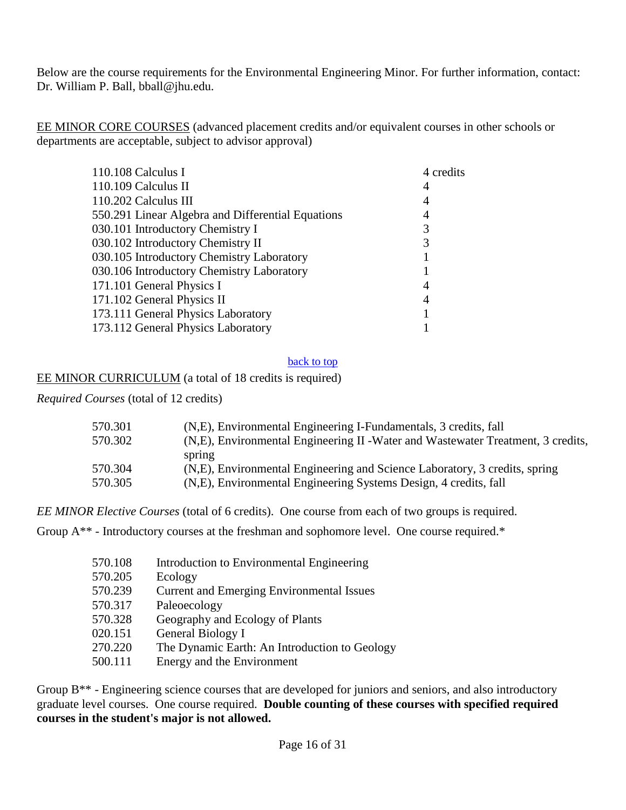Below are the course requirements for the Environmental Engineering Minor. For further information, contact: Dr. William P. Ball, bball@jhu.edu.

EE MINOR CORE COURSES (advanced placement credits and/or equivalent courses in other schools or departments are acceptable, subject to advisor approval)

| 110.108 Calculus I                                | 4 credits |
|---------------------------------------------------|-----------|
| 110.109 Calculus II                               | 4         |
| 110.202 Calculus III                              |           |
| 550.291 Linear Algebra and Differential Equations | 4         |
| 030.101 Introductory Chemistry I                  |           |
| 030.102 Introductory Chemistry II                 |           |
| 030.105 Introductory Chemistry Laboratory         |           |
| 030.106 Introductory Chemistry Laboratory         |           |
| 171.101 General Physics I                         | 4         |
| 171.102 General Physics II                        | 4         |
| 173.111 General Physics Laboratory                |           |
| 173.112 General Physics Laboratory                |           |
|                                                   |           |

#### back to top

#### EE MINOR CURRICULUM (a total of 18 credits is required)

*Required Courses* (total of 12 credits)

| 570.301 | (N,E), Environmental Engineering I-Fundamentals, 3 credits, fall                 |
|---------|----------------------------------------------------------------------------------|
| 570.302 | (N,E), Environmental Engineering II - Water and Wastewater Treatment, 3 credits, |
|         | spring                                                                           |
| 570.304 | (N.E), Environmental Engineering and Science Laboratory, 3 credits, spring       |
| 570.305 | (N,E), Environmental Engineering Systems Design, 4 credits, fall                 |

*EE MINOR Elective Courses* (total of 6 credits). One course from each of two groups is required.

Group  $A^{**}$  - Introductory courses at the freshman and sophomore level. One course required.\*

| 570.108 | Introduction to Environmental Engineering        |
|---------|--------------------------------------------------|
| 570.205 | Ecology                                          |
| 570.239 | <b>Current and Emerging Environmental Issues</b> |
| 570.317 | Paleoecology                                     |
| 570.328 | Geography and Ecology of Plants                  |
| 020.151 | General Biology I                                |
| 270.220 | The Dynamic Earth: An Introduction to Geology    |
| 500.111 | Energy and the Environment                       |

Group B<sup>\*\*</sup> - Engineering science courses that are developed for juniors and seniors, and also introductory graduate level courses. One course required. **Double counting of these courses with specified required courses in the student's major is not allowed.**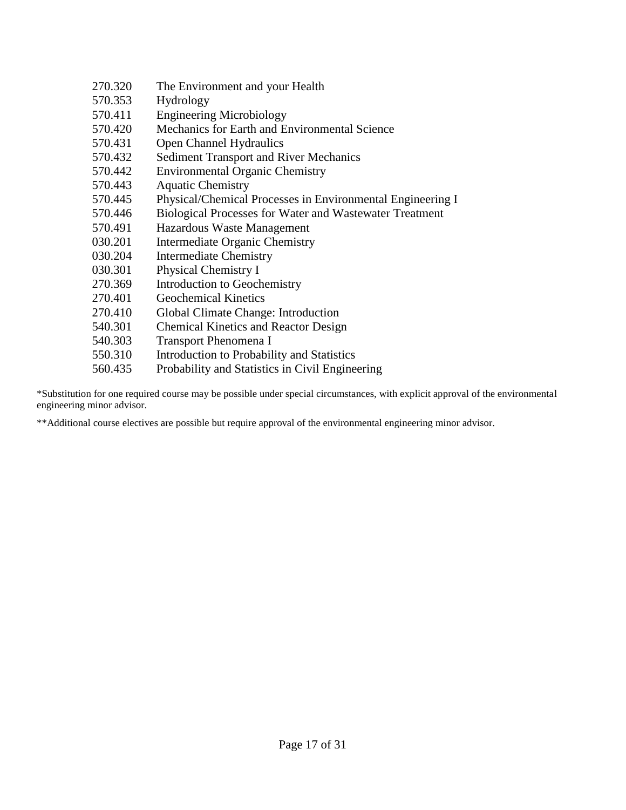| 270.320 | The Environment and your Health                                |
|---------|----------------------------------------------------------------|
| 570.353 | Hydrology                                                      |
| 570.411 | <b>Engineering Microbiology</b>                                |
| 570.420 | Mechanics for Earth and Environmental Science                  |
| 570.431 | Open Channel Hydraulics                                        |
| 570.432 | <b>Sediment Transport and River Mechanics</b>                  |
| 570.442 | <b>Environmental Organic Chemistry</b>                         |
| 570.443 | <b>Aquatic Chemistry</b>                                       |
| 570.445 | Physical/Chemical Processes in Environmental Engineering I     |
| 570.446 | <b>Biological Processes for Water and Wastewater Treatment</b> |
| 570.491 | Hazardous Waste Management                                     |
| 030.201 | Intermediate Organic Chemistry                                 |
| 030.204 | <b>Intermediate Chemistry</b>                                  |
| 030.301 | Physical Chemistry I                                           |
| 270.369 | Introduction to Geochemistry                                   |
| 270.401 | <b>Geochemical Kinetics</b>                                    |
| 270.410 | Global Climate Change: Introduction                            |
| 540.301 | <b>Chemical Kinetics and Reactor Design</b>                    |
| 540.303 | <b>Transport Phenomena I</b>                                   |
| 550.310 | Introduction to Probability and Statistics                     |
| 560.435 | Probability and Statistics in Civil Engineering                |
|         |                                                                |

\*Substitution for one required course may be possible under special circumstances, with explicit approval of the environmental engineering minor advisor.

<span id="page-16-0"></span>\*\*Additional course electives are possible but require approval of the environmental engineering minor advisor.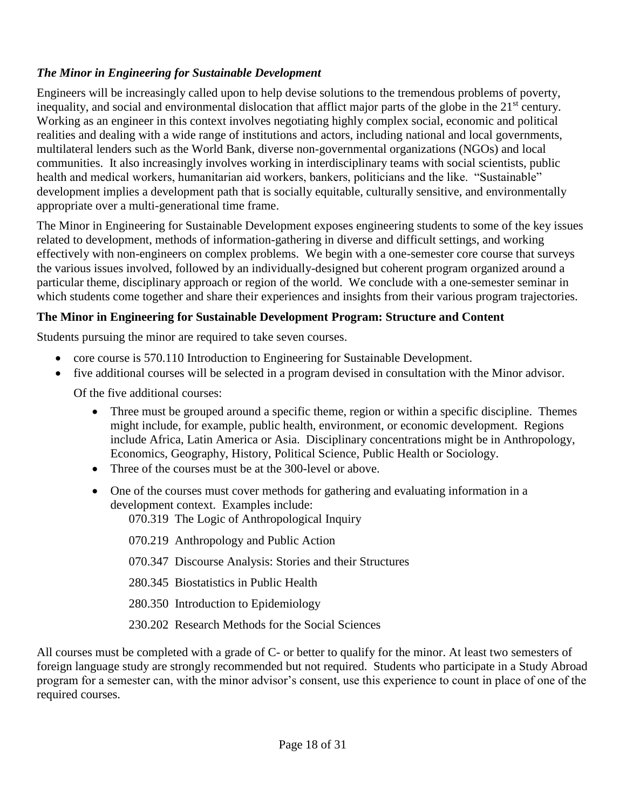## *The Minor in Engineering for Sustainable Development*

Engineers will be increasingly called upon to help devise solutions to the tremendous problems of poverty, inequality, and social and environmental dislocation that afflict major parts of the globe in the 21<sup>st</sup> century. Working as an engineer in this context involves negotiating highly complex social, economic and political realities and dealing with a wide range of institutions and actors, including national and local governments, multilateral lenders such as the World Bank, diverse non-governmental organizations (NGOs) and local communities. It also increasingly involves working in interdisciplinary teams with social scientists, public health and medical workers, humanitarian aid workers, bankers, politicians and the like. "Sustainable" development implies a development path that is socially equitable, culturally sensitive, and environmentally appropriate over a multi-generational time frame.

The Minor in Engineering for Sustainable Development exposes engineering students to some of the key issues related to development, methods of information-gathering in diverse and difficult settings, and working effectively with non-engineers on complex problems. We begin with a one-semester core course that surveys the various issues involved, followed by an individually-designed but coherent program organized around a particular theme, disciplinary approach or region of the world. We conclude with a one-semester seminar in which students come together and share their experiences and insights from their various program trajectories.

## **The Minor in Engineering for Sustainable Development Program: Structure and Content**

Students pursuing the minor are required to take seven courses.

- core course is 570.110 Introduction to Engineering for Sustainable Development.
- five additional courses will be selected in a program devised in consultation with the Minor advisor.

Of the five additional courses:

- Three must be grouped around a specific theme, region or within a specific discipline. Themes might include, for example, public health, environment, or economic development. Regions include Africa, Latin America or Asia. Disciplinary concentrations might be in Anthropology, Economics, Geography, History, Political Science, Public Health or Sociology.
- Three of the courses must be at the 300-level or above.
- One of the courses must cover methods for gathering and evaluating information in a development context. Examples include:

070.319 The Logic of Anthropological Inquiry

070.219 Anthropology and Public Action

- 070.347 Discourse Analysis: Stories and their Structures
- 280.345 Biostatistics in Public Health
- 280.350 Introduction to Epidemiology
- 230.202 Research Methods for the Social Sciences

All courses must be completed with a grade of C- or better to qualify for the minor. At least two semesters of foreign language study are strongly recommended but not required. Students who participate in a Study Abroad program for a semester can, with the minor advisor's consent, use this experience to count in place of one of the required courses.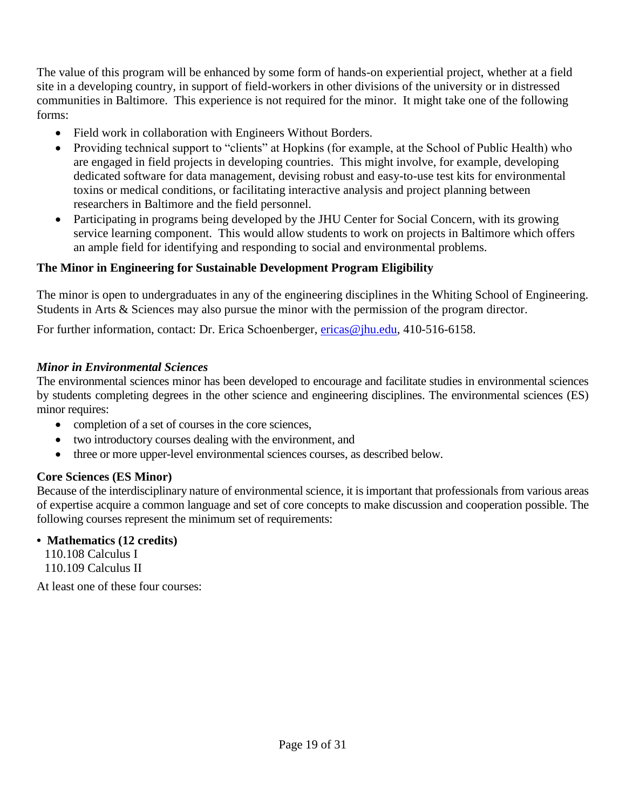The value of this program will be enhanced by some form of hands-on experiential project, whether at a field site in a developing country, in support of field-workers in other divisions of the university or in distressed communities in Baltimore. This experience is not required for the minor. It might take one of the following forms:

- Field work in collaboration with Engineers Without Borders.
- Providing technical support to "clients" at Hopkins (for example, at the School of Public Health) who are engaged in field projects in developing countries. This might involve, for example, developing dedicated software for data management, devising robust and easy-to-use test kits for environmental toxins or medical conditions, or facilitating interactive analysis and project planning between researchers in Baltimore and the field personnel.
- Participating in programs being developed by the JHU Center for Social Concern, with its growing service learning component. This would allow students to work on projects in Baltimore which offers an ample field for identifying and responding to social and environmental problems.

## **The Minor in Engineering for Sustainable Development Program Eligibility**

The minor is open to undergraduates in any of the engineering disciplines in the Whiting School of Engineering. Students in Arts & Sciences may also pursue the minor with the permission of the program director.

For further information, contact: Dr. Erica Schoenberger, *ericas@jhu.edu*, 410-516-6158.

### *Minor in Environmental Sciences*

The environmental sciences minor has been developed to encourage and facilitate studies in environmental sciences by students completing degrees in the other science and engineering disciplines. The environmental sciences (ES) minor requires:

- completion of a set of courses in the core sciences,
- two introductory courses dealing with the environment, and
- three or more upper-level environmental sciences courses, as described below.

## **Core Sciences (ES Minor)**

Because of the interdisciplinary nature of environmental science, it is important that professionals from various areas of expertise acquire a common language and set of core concepts to make discussion and cooperation possible. The following courses represent the minimum set of requirements:

#### **• Mathematics (12 credits)**

110.108 Calculus I 110.109 Calculus II

At least one of these four courses: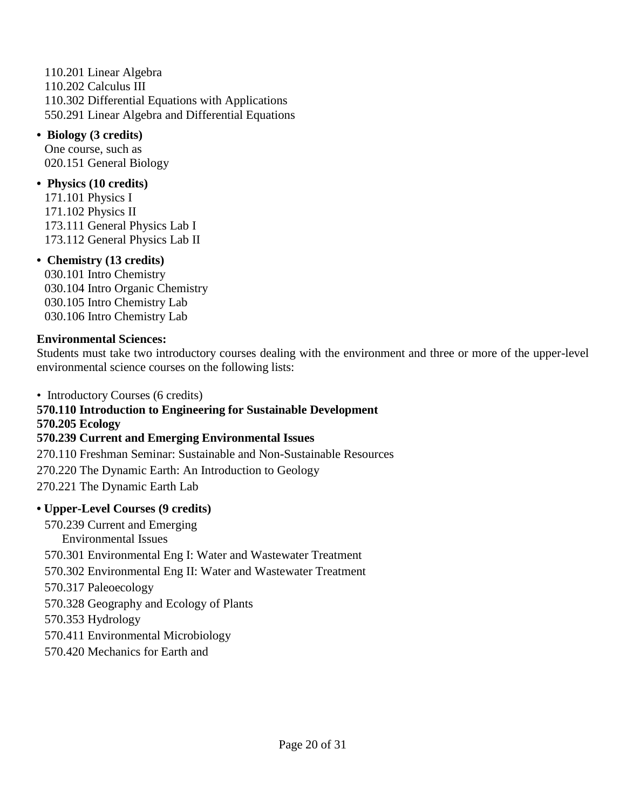110.201 Linear Algebra 110.202 Calculus III 110.302 Differential Equations with Applications 550.291 Linear Algebra and Differential Equations

**• Biology (3 credits)**  One course, such as 020.151 General Biology

#### **• Physics (10 credits)**

171.101 Physics I 171.102 Physics II 173.111 General Physics Lab I 173.112 General Physics Lab II

#### **• Chemistry (13 credits)**

030.101 Intro Chemistry 030.104 Intro Organic Chemistry 030.105 Intro Chemistry Lab 030.106 Intro Chemistry Lab

#### **Environmental Sciences:**

Students must take two introductory courses dealing with the environment and three or more of the upper-level environmental science courses on the following lists:

• Introductory Courses (6 credits)

## **570.110 Introduction to Engineering for Sustainable Development**

**570.205 Ecology**

#### **570.239 Current and Emerging Environmental Issues**

270.110 Freshman Seminar: Sustainable and Non-Sustainable Resources

270.220 The Dynamic Earth: An Introduction to Geology

270.221 The Dynamic Earth Lab

## **• Upper-Level Courses (9 credits)**

570.239 Current and Emerging

- Environmental Issues
- 570.301 Environmental Eng I: Water and Wastewater Treatment
- 570.302 Environmental Eng II: Water and Wastewater Treatment

570.317 Paleoecology

570.328 Geography and Ecology of Plants

570.353 Hydrology

570.411 Environmental Microbiology

570.420 Mechanics for Earth and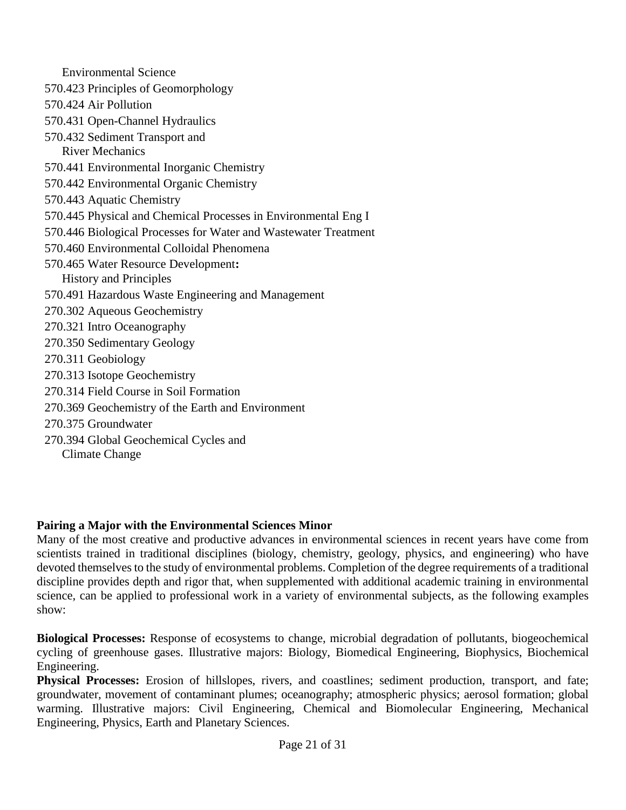Environmental Science 570.423 Principles of Geomorphology 570.424 Air Pollution 570.431 Open-Channel Hydraulics 570.432 Sediment Transport and River Mechanics 570.441 Environmental Inorganic Chemistry 570.442 Environmental Organic Chemistry 570.443 Aquatic Chemistry 570.445 Physical and Chemical Processes in Environmental Eng I 570.446 Biological Processes for Water and Wastewater Treatment 570.460 Environmental Colloidal Phenomena 570.465 Water Resource Development**:**  History and Principles 570.491 Hazardous Waste Engineering and Management 270.302 Aqueous Geochemistry 270.321 Intro Oceanography 270.350 Sedimentary Geology 270.311 Geobiology 270.313 Isotope Geochemistry 270.314 Field Course in Soil Formation 270.369 Geochemistry of the Earth and Environment 270.375 Groundwater 270.394 Global Geochemical Cycles and Climate Change

## **Pairing a Major with the Environmental Sciences Minor**

Many of the most creative and productive advances in environmental sciences in recent years have come from scientists trained in traditional disciplines (biology, chemistry, geology, physics, and engineering) who have devoted themselves to the study of environmental problems. Completion of the degree requirements of a traditional discipline provides depth and rigor that, when supplemented with additional academic training in environmental science, can be applied to professional work in a variety of environmental subjects, as the following examples show:

**Biological Processes:** Response of ecosystems to change, microbial degradation of pollutants, biogeochemical cycling of greenhouse gases. Illustrative majors: Biology, Biomedical Engineering, Biophysics, Biochemical Engineering.

**Physical Processes:** Erosion of hillslopes, rivers, and coastlines; sediment production, transport, and fate; groundwater, movement of contaminant plumes; oceanography; atmospheric physics; aerosol formation; global warming. Illustrative majors: Civil Engineering, Chemical and Biomolecular Engineering, Mechanical Engineering, Physics, Earth and Planetary Sciences.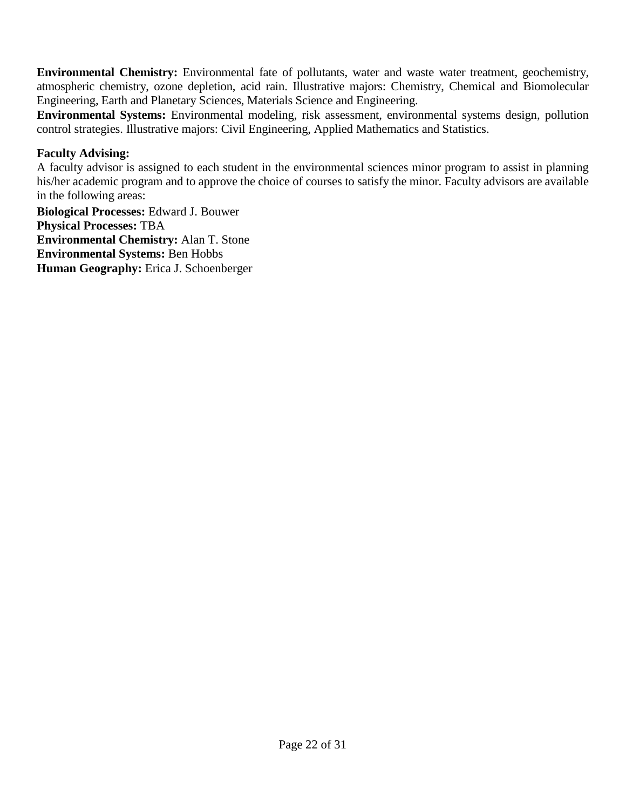**Environmental Chemistry:** Environmental fate of pollutants, water and waste water treatment, geochemistry, atmospheric chemistry, ozone depletion, acid rain. Illustrative majors: Chemistry, Chemical and Biomolecular Engineering, Earth and Planetary Sciences, Materials Science and Engineering.

**Environmental Systems:** Environmental modeling, risk assessment, environmental systems design, pollution control strategies. Illustrative majors: Civil Engineering, Applied Mathematics and Statistics.

### **Faculty Advising:**

A faculty advisor is assigned to each student in the environmental sciences minor program to assist in planning his/her academic program and to approve the choice of courses to satisfy the minor. Faculty advisors are available in the following areas:

**Biological Processes:** Edward J. Bouwer **Physical Processes:** TBA **Environmental Chemistry:** Alan T. Stone **Environmental Systems:** Ben Hobbs **Human Geography:** Erica J. Schoenberger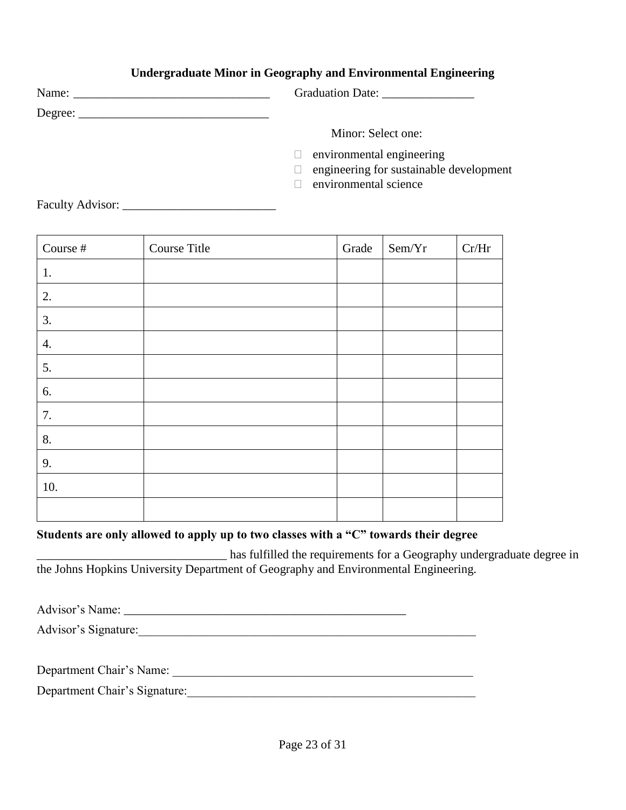## **Undergraduate Minor in Geography and Environmental Engineering**

|                         | Graduation Date:                                                                              |
|-------------------------|-----------------------------------------------------------------------------------------------|
|                         |                                                                                               |
|                         | Minor: Select one:                                                                            |
|                         | environmental engineering<br>engineering for sustainable development<br>environmental science |
| <b>Faculty Advisor:</b> |                                                                                               |

| Course # | Course Title | Grade | Sem/Yr | Cr/Hr |
|----------|--------------|-------|--------|-------|
| 1.       |              |       |        |       |
| 2.       |              |       |        |       |
| 3.       |              |       |        |       |
| 4.       |              |       |        |       |
| 5.       |              |       |        |       |
| 6.       |              |       |        |       |
| 7.       |              |       |        |       |
| 8.       |              |       |        |       |
| 9.       |              |       |        |       |
| 10.      |              |       |        |       |
|          |              |       |        |       |

#### **Students are only allowed to apply up to two classes with a "C" towards their degree**

\_\_\_\_\_\_\_\_\_\_\_\_\_\_\_\_\_\_\_\_\_\_\_\_\_\_\_\_\_\_\_ has fulfilled the requirements for a Geography undergraduate degree in the Johns Hopkins University Department of Geography and Environmental Engineering.

Advisor's Name: \_\_\_\_\_\_\_\_\_\_\_\_\_\_\_\_\_\_\_\_\_\_\_\_\_\_\_\_\_\_\_\_\_\_\_\_\_\_\_\_\_\_\_\_\_\_

Advisor's Signature:

Department Chair's Name: \_\_\_\_\_\_\_\_\_\_\_\_\_\_\_\_\_\_\_\_\_\_\_\_\_\_\_\_\_\_\_\_\_\_\_\_\_\_\_\_\_\_\_\_\_\_\_\_\_

Department Chair's Signature:\_\_\_\_\_\_\_\_\_\_\_\_\_\_\_\_\_\_\_\_\_\_\_\_\_\_\_\_\_\_\_\_\_\_\_\_\_\_\_\_\_\_\_\_\_\_\_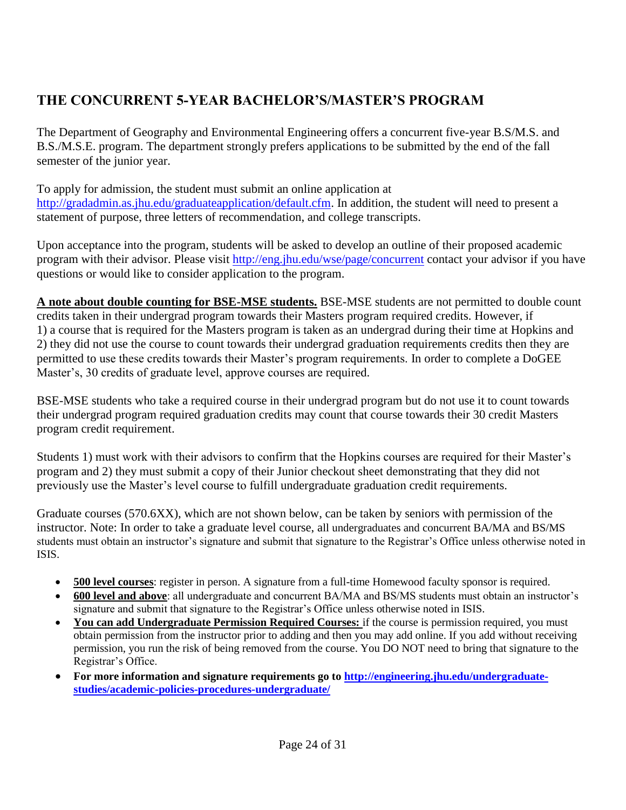## <span id="page-23-0"></span>**THE CONCURRENT 5-YEAR BACHELOR'S/MASTER'S PROGRAM**

The Department of Geography and Environmental Engineering offers a concurrent five-year B.S/M.S. and B.S./M.S.E. program. The department strongly prefers applications to be submitted by the end of the fall semester of the junior year.

To apply for admission, the student must submit an online application at [http://gradadmin.as.jhu.edu/graduateapplication/default.cfm.](http://gradadmin.as.jhu.edu/graduateapplication/default.cfm) In addition, the student will need to present a statement of purpose, three letters of recommendation, and college transcripts.

Upon acceptance into the program, students will be asked to develop an outline of their proposed academic program with their advisor. Please visit<http://eng.jhu.edu/wse/page/concurrent> contact your advisor if you have questions or would like to consider application to the program.

**A note about double counting for BSE-MSE students.** BSE-MSE students are not permitted to double count credits taken in their undergrad program towards their Masters program required credits. However, if 1) a course that is required for the Masters program is taken as an undergrad during their time at Hopkins and 2) they did not use the course to count towards their undergrad graduation requirements credits then they are permitted to use these credits towards their Master's program requirements. In order to complete a DoGEE Master's, 30 credits of graduate level, approve courses are required.

BSE-MSE students who take a required course in their undergrad program but do not use it to count towards their undergrad program required graduation credits may count that course towards their 30 credit Masters program credit requirement.

Students 1) must work with their advisors to confirm that the Hopkins courses are required for their Master's program and 2) they must submit a copy of their Junior checkout sheet demonstrating that they did not previously use the Master's level course to fulfill undergraduate graduation credit requirements.

<span id="page-23-1"></span>Graduate courses (570.6XX), which are not shown below, can be taken by seniors with permission of the instructor. Note: In order to take a graduate level course, all undergraduates and concurrent BA/MA and BS/MS students must obtain an instructor's signature and submit that signature to the Registrar's Office unless otherwise noted in ISIS.

- **500 level courses**: register in person. A signature from a full-time Homewood faculty sponsor is required.
- **600 level and above**: all undergraduate and concurrent BA/MA and BS/MS students must obtain an instructor's signature and submit that signature to the Registrar's Office unless otherwise noted in ISIS.
- **You can add Undergraduate Permission Required Courses:** if the course is permission required, you must obtain permission from the instructor prior to adding and then you may add online. If you add without receiving permission, you run the risk of being removed from the course. You DO NOT need to bring that signature to the Registrar's Office.
- **For more information and signature requirements go to [http://engineering.jhu.edu/undergraduate](http://engineering.jhu.edu/undergraduate-studies/academic-policies-procedures-undergraduate/)[studies/academic-policies-procedures-undergraduate/](http://engineering.jhu.edu/undergraduate-studies/academic-policies-procedures-undergraduate/)**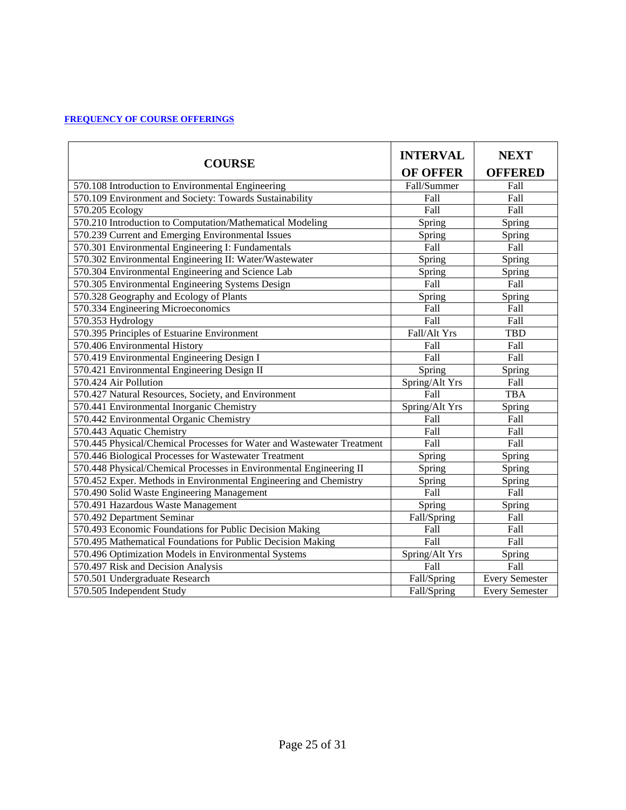#### **[FREQUENCY OF COURSE OFFERINGS](#page-23-1)**

<span id="page-24-0"></span>

| <b>COURSE</b>                                                          | <b>INTERVAL</b><br><b>OF OFFER</b> | <b>NEXT</b><br><b>OFFERED</b> |  |
|------------------------------------------------------------------------|------------------------------------|-------------------------------|--|
| 570.108 Introduction to Environmental Engineering                      | Fall/Summer                        | Fall                          |  |
| 570.109 Environment and Society: Towards Sustainability                | Fall                               | Fall                          |  |
| 570.205 Ecology                                                        | Fall                               | Fall                          |  |
| 570.210 Introduction to Computation/Mathematical Modeling              | Spring                             | Spring                        |  |
| 570.239 Current and Emerging Environmental Issues                      | Spring                             | Spring                        |  |
| 570.301 Environmental Engineering I: Fundamentals                      | Fall                               | Fall                          |  |
| 570.302 Environmental Engineering II: Water/Wastewater                 | Spring                             | Spring                        |  |
| 570.304 Environmental Engineering and Science Lab                      | Spring                             | Spring                        |  |
| 570.305 Environmental Engineering Systems Design                       | Fall                               | Fall                          |  |
| 570.328 Geography and Ecology of Plants                                | Spring                             | Spring                        |  |
| 570.334 Engineering Microeconomics                                     | Fall                               | Fall                          |  |
| 570.353 Hydrology                                                      | Fall                               | Fall                          |  |
| 570.395 Principles of Estuarine Environment                            | Fall/Alt Yrs                       | <b>TBD</b>                    |  |
| 570.406 Environmental History                                          | Fall                               | Fall                          |  |
| 570.419 Environmental Engineering Design I                             | Fall                               | Fall                          |  |
| 570.421 Environmental Engineering Design II                            | Spring                             | Spring                        |  |
| 570.424 Air Pollution                                                  | Spring/Alt Yrs                     | Fall                          |  |
| 570.427 Natural Resources, Society, and Environment                    | Fall                               | <b>TBA</b>                    |  |
| 570.441 Environmental Inorganic Chemistry                              | Spring/Alt Yrs                     | Spring                        |  |
| 570.442 Environmental Organic Chemistry                                | Fall                               | Fall                          |  |
| 570.443 Aquatic Chemistry                                              | Fall                               | Fall                          |  |
| 570.445 Physical/Chemical Processes for Water and Wastewater Treatment | Fall                               | Fall                          |  |
| 570.446 Biological Processes for Wastewater Treatment                  | Spring                             | Spring                        |  |
| 570.448 Physical/Chemical Processes in Environmental Engineering II    | Spring                             | Spring                        |  |
| 570.452 Exper. Methods in Environmental Engineering and Chemistry      | Spring                             | Spring                        |  |
| 570.490 Solid Waste Engineering Management                             | Fall                               | Fall                          |  |
| 570.491 Hazardous Waste Management                                     | Spring                             | Spring                        |  |
| 570.492 Department Seminar                                             | Fall/Spring                        | Fall                          |  |
| 570.493 Economic Foundations for Public Decision Making                | Fall                               | Fall                          |  |
| 570.495 Mathematical Foundations for Public Decision Making            | Fall                               | Fall                          |  |
| 570.496 Optimization Models in Environmental Systems                   | Spring/Alt Yrs                     | Spring                        |  |
| 570.497 Risk and Decision Analysis                                     | Fall                               | Fall                          |  |
| 570.501 Undergraduate Research                                         | Fall/Spring                        | <b>Every Semester</b>         |  |
| 570.505 Independent Study                                              | Fall/Spring                        | <b>Every Semester</b>         |  |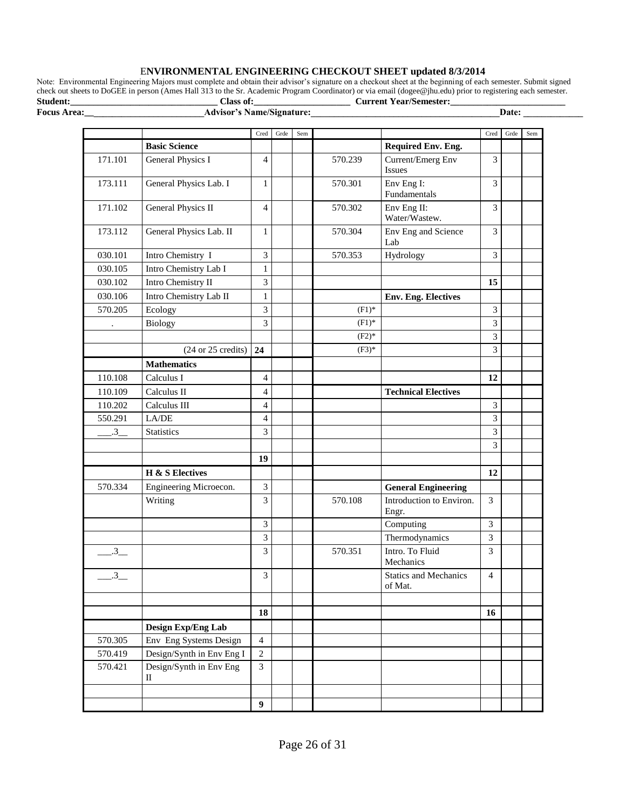#### E**NVIRONMENTAL ENGINEERING CHECKOUT SHEET updated 8/3/2014**

Note: Environmental Engineering Majors must complete and obtain their advisor's signature on a checkout sheet at the beginning of each semester. Submit signed check out sheets to DoGEE in person (Ames Hall 313 to the Sr. Academic Program Coordinator) or via email (dogee@jhu.edu) prior to registering each semester. **Student:\_\_\_\_\_\_\_\_\_\_\_\_\_\_\_\_\_\_\_\_\_\_\_\_\_\_\_\_\_\_\_\_ Class of:\_\_\_\_\_\_\_\_\_\_\_\_\_\_\_\_\_\_\_\_\_ Current Year/Semester:\_\_\_\_\_\_\_\_\_\_\_\_\_\_\_\_\_\_\_\_\_\_\_\_\_**

**Focus Area:\_\_\_\_\_\_\_\_\_\_\_\_\_\_\_\_\_\_\_\_\_\_\_\_\_\_Advisor's Name/Signature:\_\_\_\_\_\_\_\_\_\_\_\_\_\_\_\_\_\_\_\_\_\_\_\_\_\_\_\_\_\_\_\_\_\_\_\_\_\_\_\_\_Date: \_\_\_\_\_\_\_\_\_\_\_\_\_**

|                      |                                       | Cred             | Grde | Sem |          |                                         | Cred           | Grde | Sem |
|----------------------|---------------------------------------|------------------|------|-----|----------|-----------------------------------------|----------------|------|-----|
|                      | <b>Basic Science</b>                  |                  |      |     |          | <b>Required Env. Eng.</b>               |                |      |     |
| 171.101              | <b>General Physics I</b>              | $\overline{4}$   |      |     | 570.239  | Current/Emerg Env<br>Issues             | 3              |      |     |
| 173.111              | General Physics Lab. I                | 1                |      |     | 570.301  | Env Eng I:<br>Fundamentals              | 3              |      |     |
| 171.102              | <b>General Physics II</b>             | 4                |      |     | 570.302  | Env Eng II:<br>Water/Wastew.            | 3              |      |     |
| 173.112              | General Physics Lab. II               | $\mathbf{1}$     |      |     | 570.304  | Env Eng and Science<br>Lab              | 3              |      |     |
| 030.101              | Intro Chemistry I                     | 3                |      |     | 570.353  | Hydrology                               | 3              |      |     |
| 030.105              | Intro Chemistry Lab I                 | 1                |      |     |          |                                         |                |      |     |
| 030.102              | Intro Chemistry II                    | 3                |      |     |          |                                         | 15             |      |     |
| 030.106              | Intro Chemistry Lab II                | $\mathbf{1}$     |      |     |          | <b>Env. Eng. Electives</b>              |                |      |     |
| 570.205              | Ecology                               | 3                |      |     | $(F1)^*$ |                                         | 3              |      |     |
| $\ddot{\phantom{0}}$ | Biology                               | $\overline{3}$   |      |     | $(F1)^*$ |                                         | $\overline{3}$ |      |     |
|                      |                                       |                  |      |     | $(F2)*$  |                                         | 3              |      |     |
|                      | $(24 \text{ or } 25 \text{ credits})$ | 24               |      |     | $(F3)*$  |                                         | 3              |      |     |
|                      | <b>Mathematics</b>                    |                  |      |     |          |                                         |                |      |     |
| 110.108              | Calculus I                            | $\overline{4}$   |      |     |          |                                         | 12             |      |     |
| 110.109              | Calculus II                           | 4                |      |     |          | <b>Technical Electives</b>              |                |      |     |
| 110.202              | Calculus III                          | $\overline{4}$   |      |     |          |                                         | 3              |      |     |
| 550.291              | LA/DE                                 | $\overline{4}$   |      |     |          |                                         | 3              |      |     |
| $\overline{.3}$      | <b>Statistics</b>                     | 3                |      |     |          |                                         | 3              |      |     |
|                      |                                       |                  |      |     |          |                                         | 3              |      |     |
|                      |                                       | 19               |      |     |          |                                         |                |      |     |
|                      | H & S Electives                       |                  |      |     |          |                                         | 12             |      |     |
| 570.334              | Engineering Microecon.                | $\mathfrak{Z}$   |      |     |          | <b>General Engineering</b>              |                |      |     |
|                      | Writing                               | 3                |      |     | 570.108  | Introduction to Environ.<br>Engr.       | 3              |      |     |
|                      |                                       | 3                |      |     |          | Computing                               | 3              |      |     |
|                      |                                       | 3                |      |     |          | Thermodynamics                          | 3              |      |     |
| .3                   |                                       | 3                |      |     | 570.351  | Intro. To Fluid<br>Mechanics            | 3              |      |     |
| 3                    |                                       | 3                |      |     |          | <b>Statics and Mechanics</b><br>of Mat. | 4              |      |     |
|                      |                                       | 18               |      |     |          |                                         | 16             |      |     |
|                      | Design Exp/Eng Lab                    |                  |      |     |          |                                         |                |      |     |
| 570.305              | Env Eng Systems Design                | $\overline{4}$   |      |     |          |                                         |                |      |     |
| 570.419              | Design/Synth in Env Eng I             | $\overline{2}$   |      |     |          |                                         |                |      |     |
| 570.421              | Design/Synth in Env Eng<br>П          | $\mathfrak{Z}$   |      |     |          |                                         |                |      |     |
|                      |                                       |                  |      |     |          |                                         |                |      |     |
|                      |                                       | $\boldsymbol{9}$ |      |     |          |                                         |                |      |     |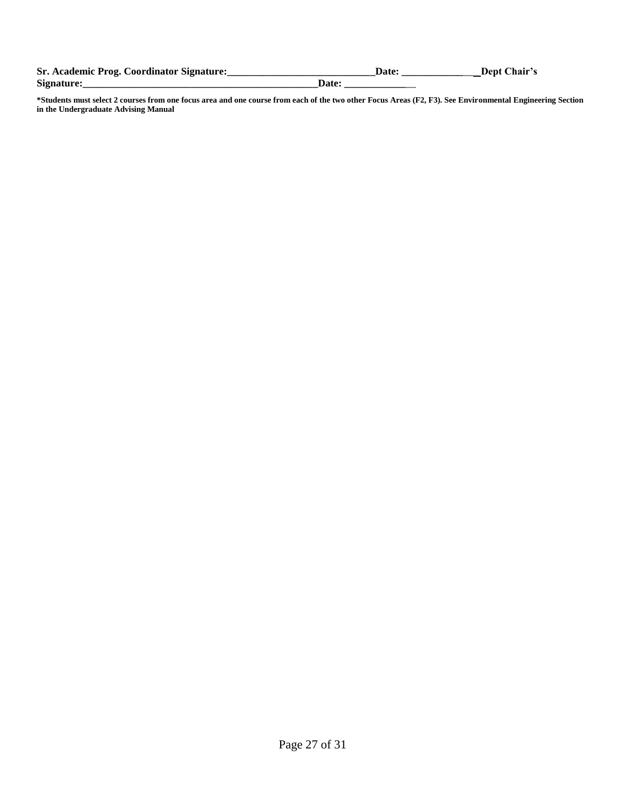<span id="page-26-0"></span>

| Sr. Academic Prog. Coordinator Signature: |       | Dept Chair's |
|-------------------------------------------|-------|--------------|
| Signature:                                | Date: |              |

**\*Students must select 2 courses from one focus area and one course from each of the two other Focus Areas (F2, F3). See Environmental Engineering Section in the Undergraduate Advising Manual**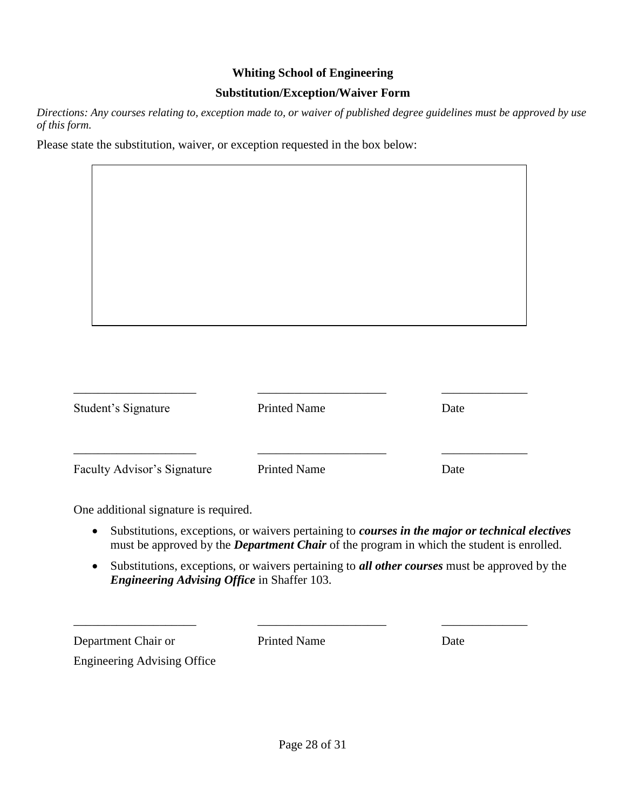#### **Whiting School of Engineering**

#### **Substitution/Exception/Waiver Form**

*Directions: Any courses relating to, exception made to, or waiver of published degree guidelines must be approved by use of this form.*

Please state the substitution, waiver, or exception requested in the box below:

| Student's Signature         | <b>Printed Name</b> | Date |
|-----------------------------|---------------------|------|
| Faculty Advisor's Signature | <b>Printed Name</b> | Date |

One additional signature is required.

- Substitutions, exceptions, or waivers pertaining to *courses in the major or technical electives*  must be approved by the *Department Chair* of the program in which the student is enrolled.
- Substitutions, exceptions, or waivers pertaining to *all other courses* must be approved by the *Engineering Advising Office* in Shaffer 103.

Department Chair or Printed Name Date Engineering Advising Office

\_\_\_\_\_\_\_\_\_\_\_\_\_\_\_\_\_\_\_\_ \_\_\_\_\_\_\_\_\_\_\_\_\_\_\_\_\_\_\_\_\_ \_\_\_\_\_\_\_\_\_\_\_\_\_\_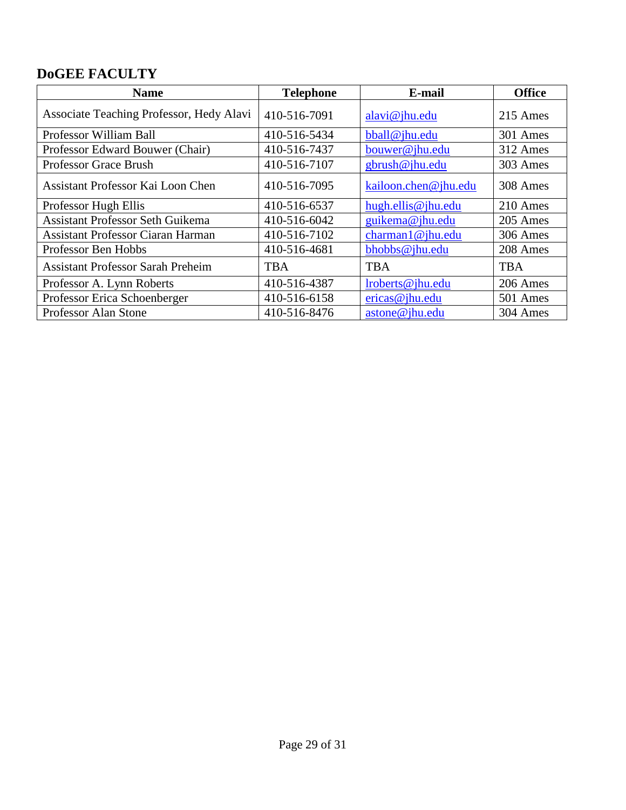## **DoGEE FACULTY**

| <b>Name</b>                              | <b>Telephone</b> | E-mail               | <b>Office</b> |
|------------------------------------------|------------------|----------------------|---------------|
| Associate Teaching Professor, Hedy Alavi | 410-516-7091     | alavi@jhu.edu        | 215 Ames      |
| Professor William Ball                   | 410-516-5434     | bball@jhu.edu        | 301 Ames      |
| Professor Edward Bouwer (Chair)          | 410-516-7437     | bouwer@jhu.edu       | 312 Ames      |
| <b>Professor Grace Brush</b>             | 410-516-7107     | gbrush@jhu.edu       | 303 Ames      |
| Assistant Professor Kai Loon Chen        | 410-516-7095     | kailoon.chen@jhu.edu | 308 Ames      |
| Professor Hugh Ellis                     | 410-516-6537     | hugh.ellis@jhu.edu   | 210 Ames      |
| <b>Assistant Professor Seth Guikema</b>  | 410-516-6042     | guikema@jhu.edu      | 205 Ames      |
| <b>Assistant Professor Ciaran Harman</b> | 410-516-7102     | charman1@jhu.edu     | 306 Ames      |
| Professor Ben Hobbs                      | 410-516-4681     | bhobbs@jhu.edu       | 208 Ames      |
| <b>Assistant Professor Sarah Preheim</b> | <b>TBA</b>       | <b>TBA</b>           | <b>TBA</b>    |
| Professor A. Lynn Roberts                | 410-516-4387     | lroberts@jhu.edu     | 206 Ames      |
| Professor Erica Schoenberger             | 410-516-6158     | ericas@jhu.edu       | 501 Ames      |
| Professor Alan Stone                     | 410-516-8476     | astone@jhu.edu       | 304 Ames      |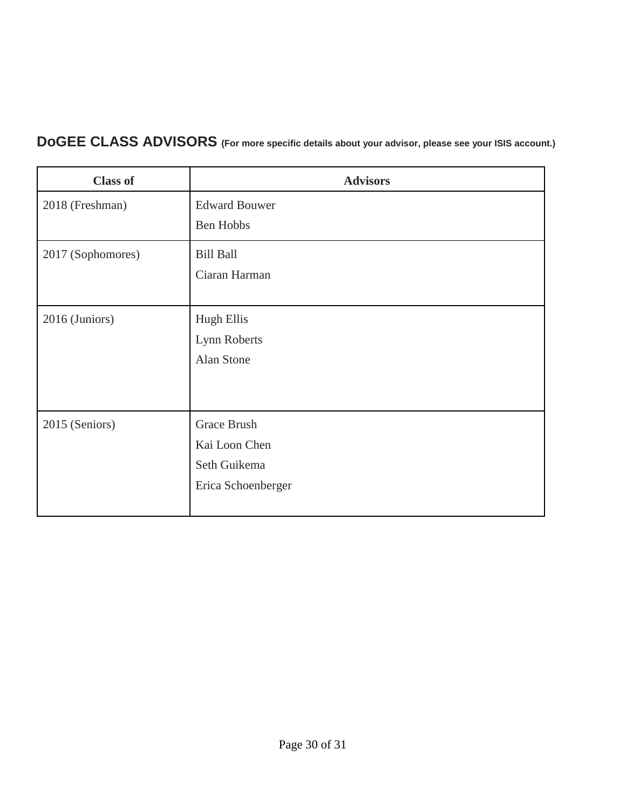# **DoGEE CLASS ADVISORS (For more specific details about your advisor, please see your ISIS account.)**

| <b>Class of</b>   | <b>Advisors</b>      |
|-------------------|----------------------|
| 2018 (Freshman)   | <b>Edward Bouwer</b> |
|                   | Ben Hobbs            |
| 2017 (Sophomores) | <b>Bill Ball</b>     |
|                   | Ciaran Harman        |
|                   |                      |
| 2016 (Juniors)    | <b>Hugh Ellis</b>    |
|                   | Lynn Roberts         |
|                   | Alan Stone           |
|                   |                      |
|                   |                      |
| 2015 (Seniors)    | Grace Brush          |
|                   | Kai Loon Chen        |
|                   | Seth Guikema         |
|                   | Erica Schoenberger   |
|                   |                      |